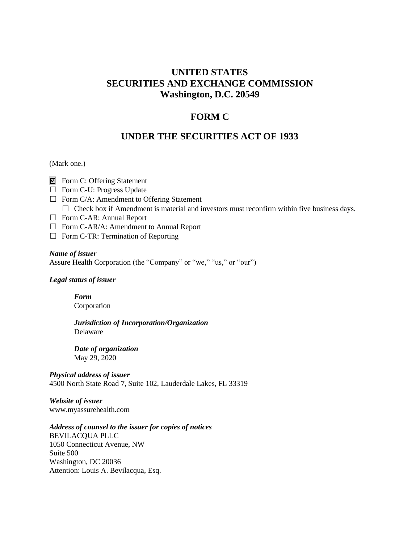## **UNITED STATES SECURITIES AND EXCHANGE COMMISSION Washington, D.C. 20549**

#### **FORM C**

#### **UNDER THE SECURITIES ACT OF 1933**

#### (Mark one.)

- $\blacksquare$  Form C: Offering Statement
- ☐ Form C-U: Progress Update
- $\Box$  Form C/A: Amendment to Offering Statement  $\Box$  Check box if Amendment is material and investors must reconfirm within five business days.
- ☐ Form C-AR: Annual Report
- ☐ Form C-AR/A: Amendment to Annual Report
- $\Box$  Form C-TR: Termination of Reporting

#### *Name of issuer*

Assure Health Corporation (the "Company" or "we," "us," or "our")

#### *Legal status of issuer*

*Form* Corporation

*Jurisdiction of Incorporation/Organization* Delaware

*Date of organization* May 29, 2020

*Physical address of issuer* 4500 North State Road 7, Suite 102, Lauderdale Lakes, FL 33319

*Website of issuer* www.myassurehealth.com

#### *Address of counsel to the issuer for copies of notices*

BEVILACQUA PLLC 1050 Connecticut Avenue, NW Suite 500 Washington, DC 20036 Attention: Louis A. Bevilacqua, Esq.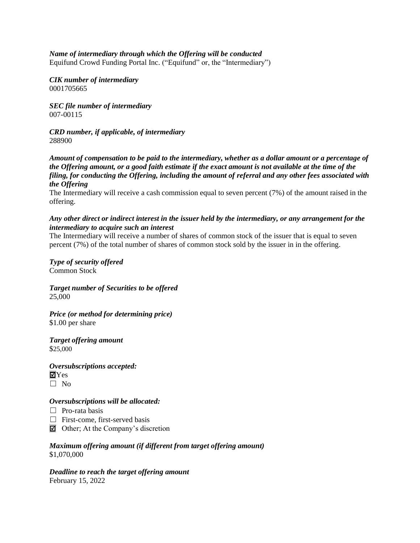#### *Name of intermediary through which the Offering will be conducted*

Equifund Crowd Funding Portal Inc. ("Equifund" or, the "Intermediary")

*CIK number of intermediary* 0001705665

*SEC file number of intermediary* 007-00115

*CRD number, if applicable, of intermediary* 288900

*Amount of compensation to be paid to the intermediary, whether as a dollar amount or a percentage of the Offering amount, or a good faith estimate if the exact amount is not available at the time of the filing, for conducting the Offering, including the amount of referral and any other fees associated with the Offering*

The Intermediary will receive a cash commission equal to seven percent (7%) of the amount raised in the offering.

#### *Any other direct or indirect interest in the issuer held by the intermediary, or any arrangement for the intermediary to acquire such an interest*

The Intermediary will receive a number of shares of common stock of the issuer that is equal to seven percent (7%) of the total number of shares of common stock sold by the issuer in in the offering.

*Type of security offered* Common Stock

*Target number of Securities to be offered* 25,000

*Price (or method for determining price)* \$1.00 per share

*Target offering amount* \$25,000

*Oversubscriptions accepted:*  $\blacksquare$ Yes  $\square$  No

#### *Oversubscriptions will be allocated:*

- $\Box$  Pro-rata basis
- $\Box$  First-come, first-served basis
- $\Box$  Other; At the Company's discretion

*Maximum offering amount (if different from target offering amount)* \$1,070,000

*Deadline to reach the target offering amount* February 15, 2022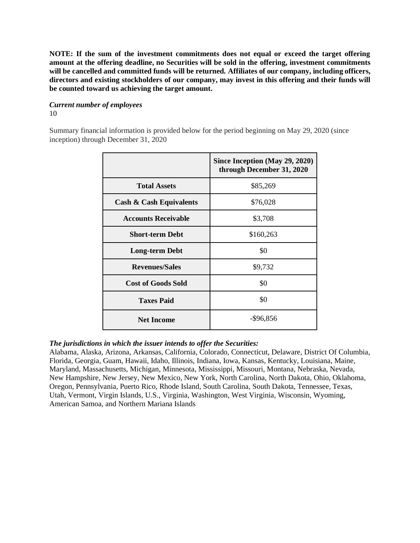**NOTE: If the sum of the investment commitments does not equal or exceed the target offering amount at the offering deadline, no Securities will be sold in the offering, investment commitments will be cancelled and committed funds will be returned. Affiliates of our company, including officers, directors and existing stockholders of our company, may invest in this offering and their funds will be counted toward us achieving the target amount.**

#### *Current number of employees* 10

Summary financial information is provided below for the period beginning on May 29, 2020 (since inception) through December 31, 2020

|                                    | Since Inception (May 29, 2020)<br>through December 31, 2020 |
|------------------------------------|-------------------------------------------------------------|
| <b>Total Assets</b>                | \$85,269                                                    |
| <b>Cash &amp; Cash Equivalents</b> | \$76,028                                                    |
| <b>Accounts Receivable</b>         | \$3,708                                                     |
| <b>Short-term Debt</b>             | \$160,263                                                   |
| <b>Long-term Debt</b>              | \$0                                                         |
| <b>Revenues/Sales</b>              | \$9,732                                                     |
| <b>Cost of Goods Sold</b>          | \$0                                                         |
| <b>Taxes Paid</b>                  | \$0                                                         |
| <b>Net Income</b>                  | $-$ \$96,856                                                |

#### *The jurisdictions in which the issuer intends to offer the Securities:*

Alabama, Alaska, Arizona, Arkansas, California, Colorado, Connecticut, Delaware, District Of Columbia, Florida, Georgia, Guam, Hawaii, Idaho, Illinois, Indiana, Iowa, Kansas, Kentucky, Louisiana, Maine, Maryland, Massachusetts, Michigan, Minnesota, Mississippi, Missouri, Montana, Nebraska, Nevada, New Hampshire, New Jersey, New Mexico, New York, North Carolina, North Dakota, Ohio, Oklahoma, Oregon, Pennsylvania, Puerto Rico, Rhode Island, South Carolina, South Dakota, Tennessee, Texas, Utah, Vermont, Virgin Islands, U.S., Virginia, Washington, West Virginia, Wisconsin, Wyoming, American Samoa, and Northern Mariana Islands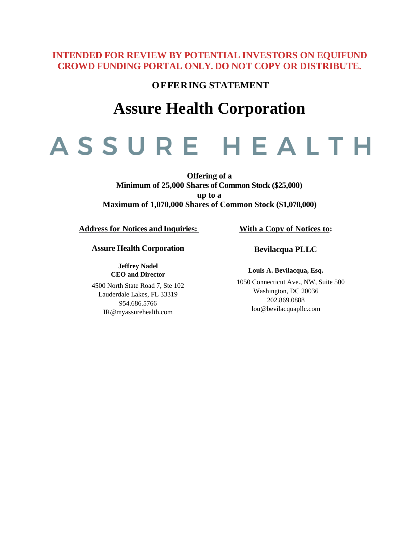## **INTENDED FOR REVIEW BY POTENTIAL INVESTORS ON EQUIFUND CROWD FUNDING PORTAL ONLY. DO NOT COPY OR DISTRIBUTE.**

**OFFERING STATEMENT**

# **Assure Health Corporation**

# ASSURE HEALTH

**Offering of a Minimum of 25,000 Shares of Common Stock (\$25,000) up to a Maximum of 1,070,000 Shares of Common Stock (\$1,070,000)**

**Address for Notices and Inquiries:** 

**Assure Health Corporation**

**Jeffrey Nadel CEO and Director**

4500 North State Road 7, Ste 102 Lauderdale Lakes, FL 33319 954.686.5766 IR@myassurehealth.com

#### **With a Copy of Notices to:**

**Bevilacqua PLLC**

**Louis A. Bevilacqua, Esq.**

1050 Connecticut Ave., NW, Suite 500 Washington, DC 20036 202.869.0888 [lou@bevilacquapllc.com](mailto:lou@bevilacquapllc.com)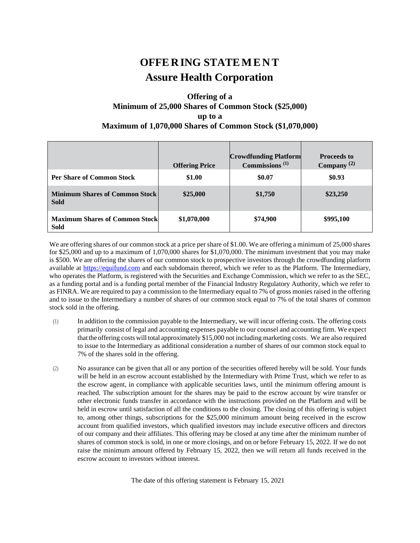## **OFFE RING STATE M E NT Assure Health Corporation**

#### **Offering of a Minimum of 25,000 Shares of Common Stock (\$25,000) up to a Maximum of 1,070,000 Shares of Common Stock (\$1,070,000)**

|                                                      | <b>Offering Price</b> | <b>Crowdfunding Platform</b><br>Commissions $(1)$ | <b>Proceeds to</b><br>Company <sup>(2)</sup> |
|------------------------------------------------------|-----------------------|---------------------------------------------------|----------------------------------------------|
| <b>Per Share of Common Stock</b>                     | \$1.00                | \$0.07                                            | \$0.93                                       |
| <b>Minimum Shares of Common Stock</b><br><b>Sold</b> | \$25,000              | \$1,750                                           | \$23,250                                     |
| <b>Maximum Shares of Common Stock</b><br><b>Sold</b> | \$1,070,000           | \$74,900                                          | \$995,100                                    |

We are offering shares of our common stock at a price per share of \$1.00. We are offering a minimum of 25,000 shares for \$25,000 and up to a maximum of 1,070,000 shares for \$1,070,000. The minimum investment that you may make is \$500. We are offering the shares of our common stock to prospective investors through the crowdfunding platform available at [https://equifund.com](https://equifund.com/) and each subdomain thereof, which we refer to as the Platform. The Intermediary, who operates the Platform, is registered with the Securities and Exchange Commission, which we refer to as the SEC, as a funding portal and is a funding portal member of the Financial Industry Regulatory Authority, which we refer to as FINRA. We are required to pay a commission to the Intermediary equal to 7% of gross monies raised in the offering and to issue to the Intermediary a number of shares of our common stock equal to 7% of the total shares of common stock sold in the offering.

- (1) In addition to the commission payable to the Intermediary, we will incur offering costs. The offering costs primarily consist of legal and accounting expenses payable to our counsel and accounting firm. We expect thatthe offering costs willtotal approximately \$15,000 notincluding marketing costs. We are also required to issue to the Intermediary as additional consideration a number of shares of our common stock equal to 7% of the shares sold in the offering.
- (2) No assurance can be given that all or any portion of the securities offered hereby will be sold. Your funds will be held in an escrow account established by the Intermediary with Prime Trust, which we refer to as the escrow agent, in compliance with applicable securities laws, until the minimum offering amount is reached. The subscription amount for the shares may be paid to the escrow account by wire transfer or other electronic funds transfer in accordance with the instructions provided on the Platform and will be held in escrow until satisfaction of all the conditions to the closing. The closing of this offering is subject to, among other things, subscriptions for the \$25,000 minimum amount being received in the escrow account from qualified investors, which qualified investors may include executive officers and directors of our company and their affiliates. This offering may be closed at any time after the minimum number of shares of common stock is sold, in one or more closings, and on or before February 15, 2022. If we do not raise the minimum amount offered by February 15, 2022, then we will return all funds received in the escrow account to investors without interest.

The date of this offering statement is February 15, 2021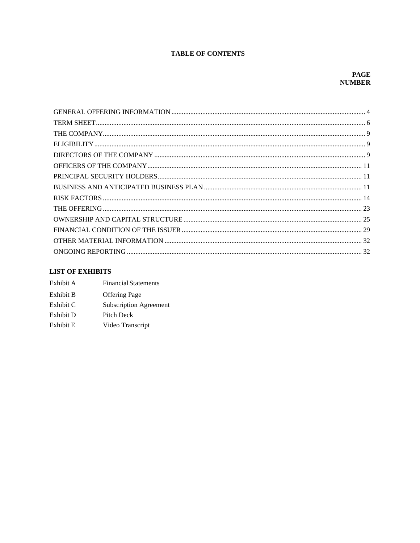#### **TABLE OF CONTENTS**

#### **LIST OF EXHIBITS**

| Exhibit A | <b>Financial Statements</b>   |
|-----------|-------------------------------|
| Exhibit B | <b>Offering Page</b>          |
| Exhibit C | <b>Subscription Agreement</b> |
| Exhibit D | Pitch Deck                    |
| Exhibit E | Video Transcript              |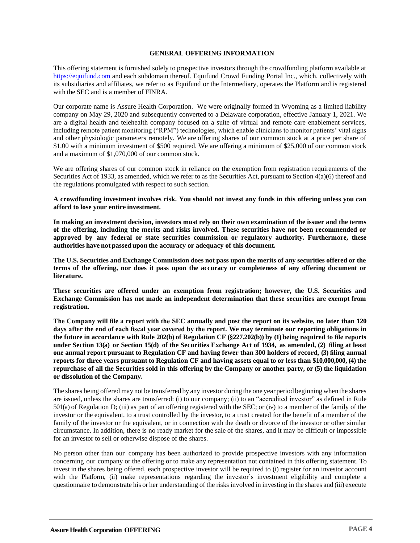#### **GENERAL OFFERING INFORMATION**

<span id="page-6-0"></span>This offering statement is furnished solely to prospective investors through the crowdfunding platform available at [https://equifund.com](https://equifund.com/) and each subdomain thereof. Equifund Crowd Funding Portal Inc., which, collectively with its subsidiaries and affiliates, we refer to as Equifund or the Intermediary, operates the Platform and is registered with the SEC and is a member of FINRA.

Our corporate name is Assure Health Corporation. We were originally formed in Wyoming as a limited liability company on May 29, 2020 and subsequently converted to a Delaware corporation, effective January 1, 2021. We are a digital health and telehealth company focused on a suite of virtual and remote care enablement services, including remote patient monitoring ("RPM") technologies, which enable clinicians to monitor patients' vital signs and other physiologic parameters remotely. We are offering shares of our common stock at a price per share of \$1.00 with a minimum investment of \$500 required. We are offering a minimum of \$25,000 of our common stock and a maximum of \$1,070,000 of our common stock.

We are offering shares of our common stock in reliance on the exemption from registration requirements of the Securities Act of 1933, as amended, which we refer to as the Securities Act, pursuant to Section 4(a)(6) thereof and the regulations promulgated with respect to such section.

**A crowdfunding investment involves risk. You should not invest any funds in this offering unless you can afford to lose your entire investment.**

**In making an investment decision, investors must rely on their own examination of the issuer and the terms of the offering, including the merits and risks involved. These securities have not been recommended or approved by any federal or state securities commission or regulatory authority. Furthermore, these** authorities have not passed upon the accuracy or adequacy of this document.

**The U.S. Securities and Exchange Commission does not pass upon the merits of any securities offered or the terms of the offering, nor does it pass upon the accuracy or completeness of any offering document or literature.**

**These securities are offered under an exemption from registration; however, the U.S. Securities and Exchange Commission has not made an independent determination that these securities are exempt from registration.**

**The Company will file a report with the SEC annually and post the report on its website, no later than 120 days after the end of each fiscal year covered by the report. We may terminate our reporting obligations in the future in accordance with Rule 202(b) of Regulation CF (§227.202(b)) by (1) being required to file reports under Section 13(a) or Section 15(d) of the Securities Exchange Act of 1934, as amended, (2) filing at least one annual report pursuant to Regulation CF and having fewer than 300 holders of record, (3) filing annual reports for three years pursuant to Regulation CF and having assets equal to or less than \$10,000,000, (4) the repurchase of all the Securities sold in this offering by the Company or another party, or (5) the liquidation or dissolution of the Company.**

The shares being offered may not be transferred by any investor during the one year period beginning when the shares are issued, unless the shares are transferred: (i) to our company; (ii) to an "accredited investor" as defined in Rule 501(a) of Regulation D; (iii) as part of an offering registered with the SEC; or (iv) to a member of the family of the investor or the equivalent, to a trust controlled by the investor, to a trust created for the benefit of a member of the family of the investor or the equivalent, or in connection with the death or divorce of the investor or other similar circumstance. In addition, there is no ready market for the sale of the shares, and it may be difficult or impossible for an investor to sell or otherwise dispose of the shares.

No person other than our company has been authorized to provide prospective investors with any information concerning our company or the offering or to make any representation not contained in this offering statement. To investin the shares being offered, each prospective investor will be required to (i) register for an investor account with the Platform, (ii) make representations regarding the investor's investment eligibility and complete a questionnaire to demonstrate his or her understanding of the risks involved in investing in the shares and (iii) execute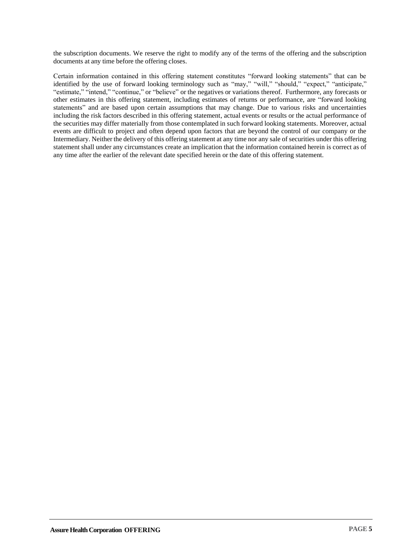the subscription documents. We reserve the right to modify any of the terms of the offering and the subscription documents at any time before the offering closes.

Certain information contained in this offering statement constitutes "forward looking statements" that can be identified by the use of forward looking terminology such as "may," "will," "should," "expect," "anticipate," "estimate," "intend," "continue," or "believe" or the negatives or variations thereof. Furthermore, any forecasts or other estimates in this offering statement, including estimates of returns or performance, are "forward looking statements" and are based upon certain assumptions that may change. Due to various risks and uncertainties including the risk factors described in this offering statement, actual events or results or the actual performance of the securities may differ materially from those contemplated in such forward looking statements. Moreover, actual events are difficult to project and often depend upon factors that are beyond the control of our company or the Intermediary. Neither the delivery of this offering statement at any time nor any sale of securities under this offering statement shall under any circumstances create an implication that the information contained herein is correct as of any time after the earlier of the relevant date specified herein or the date of this offering statement.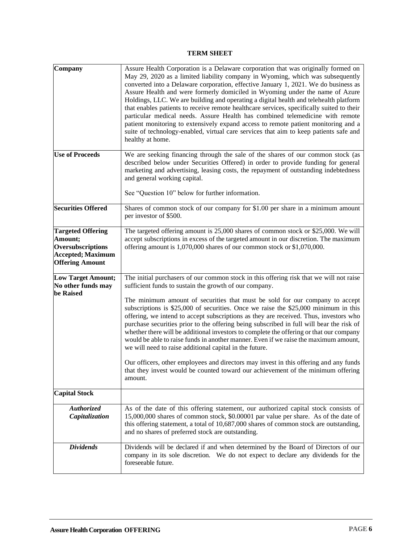#### **TERM SHEET**

<span id="page-8-0"></span>

| Company                                                                                                         | Assure Health Corporation is a Delaware corporation that was originally formed on<br>May 29, 2020 as a limited liability company in Wyoming, which was subsequently<br>converted into a Delaware corporation, effective January 1, 2021. We do business as<br>Assure Health and were formerly domiciled in Wyoming under the name of Azure<br>Holdings, LLC. We are building and operating a digital health and telehealth platform<br>that enables patients to receive remote healthcare services, specifically suited to their<br>particular medical needs. Assure Health has combined telemedicine with remote<br>patient monitoring to extensively expand access to remote patient monitoring and a<br>suite of technology-enabled, virtual care services that aim to keep patients safe and<br>healthy at home.                                                                                                                                |
|-----------------------------------------------------------------------------------------------------------------|-----------------------------------------------------------------------------------------------------------------------------------------------------------------------------------------------------------------------------------------------------------------------------------------------------------------------------------------------------------------------------------------------------------------------------------------------------------------------------------------------------------------------------------------------------------------------------------------------------------------------------------------------------------------------------------------------------------------------------------------------------------------------------------------------------------------------------------------------------------------------------------------------------------------------------------------------------|
| <b>Use of Proceeds</b>                                                                                          | We are seeking financing through the sale of the shares of our common stock (as<br>described below under Securities Offered) in order to provide funding for general<br>marketing and advertising, leasing costs, the repayment of outstanding indebtedness<br>and general working capital.<br>See "Question 10" below for further information.                                                                                                                                                                                                                                                                                                                                                                                                                                                                                                                                                                                                     |
| <b>Securities Offered</b>                                                                                       | Shares of common stock of our company for \$1.00 per share in a minimum amount<br>per investor of \$500.                                                                                                                                                                                                                                                                                                                                                                                                                                                                                                                                                                                                                                                                                                                                                                                                                                            |
| <b>Targeted Offering</b><br>Amount;<br>Oversubscriptions<br><b>Accepted</b> ; Maximum<br><b>Offering Amount</b> | The targeted offering amount is 25,000 shares of common stock or \$25,000. We will<br>accept subscriptions in excess of the targeted amount in our discretion. The maximum<br>offering amount is 1,070,000 shares of our common stock or \$1,070,000.                                                                                                                                                                                                                                                                                                                                                                                                                                                                                                                                                                                                                                                                                               |
| <b>Low Target Amount;</b><br>No other funds may<br>be Raised                                                    | The initial purchasers of our common stock in this offering risk that we will not raise<br>sufficient funds to sustain the growth of our company.<br>The minimum amount of securities that must be sold for our company to accept<br>subscriptions is \$25,000 of securities. Once we raise the \$25,000 minimum in this<br>offering, we intend to accept subscriptions as they are received. Thus, investors who<br>purchase securities prior to the offering being subscribed in full will bear the risk of<br>whether there will be additional investors to complete the offering or that our company<br>would be able to raise funds in another manner. Even if we raise the maximum amount,<br>we will need to raise additional capital in the future.<br>Our officers, other employees and directors may invest in this offering and any funds<br>that they invest would be counted toward our achievement of the minimum offering<br>amount. |
| <b>Capital Stock</b>                                                                                            |                                                                                                                                                                                                                                                                                                                                                                                                                                                                                                                                                                                                                                                                                                                                                                                                                                                                                                                                                     |
| Authorized<br>Capitalization                                                                                    | As of the date of this offering statement, our authorized capital stock consists of<br>15,000,000 shares of common stock, \$0.00001 par value per share. As of the date of<br>this offering statement, a total of 10,687,000 shares of common stock are outstanding,<br>and no shares of preferred stock are outstanding.                                                                                                                                                                                                                                                                                                                                                                                                                                                                                                                                                                                                                           |
| <b>Dividends</b>                                                                                                | Dividends will be declared if and when determined by the Board of Directors of our<br>company in its sole discretion. We do not expect to declare any dividends for the<br>foreseeable future.                                                                                                                                                                                                                                                                                                                                                                                                                                                                                                                                                                                                                                                                                                                                                      |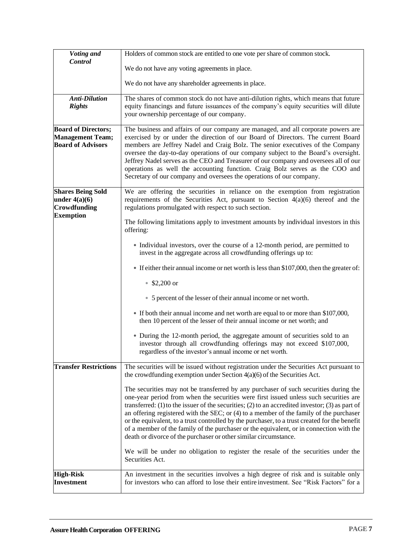| Voting and                                                                        | Holders of common stock are entitled to one vote per share of common stock.                                                                                                                                                                                                                                                                                                                                                                                                                                                                                                                                                                  |
|-----------------------------------------------------------------------------------|----------------------------------------------------------------------------------------------------------------------------------------------------------------------------------------------------------------------------------------------------------------------------------------------------------------------------------------------------------------------------------------------------------------------------------------------------------------------------------------------------------------------------------------------------------------------------------------------------------------------------------------------|
| Control                                                                           | We do not have any voting agreements in place.                                                                                                                                                                                                                                                                                                                                                                                                                                                                                                                                                                                               |
|                                                                                   | We do not have any shareholder agreements in place.                                                                                                                                                                                                                                                                                                                                                                                                                                                                                                                                                                                          |
| <b>Anti-Dilution</b><br><b>Rights</b>                                             | The shares of common stock do not have anti-dilution rights, which means that future<br>equity financings and future issuances of the company's equity securities will dilute<br>your ownership percentage of our company.                                                                                                                                                                                                                                                                                                                                                                                                                   |
| <b>Board of Directors;</b><br><b>Management Team;</b><br><b>Board of Advisors</b> | The business and affairs of our company are managed, and all corporate powers are<br>exercised by or under the direction of our Board of Directors. The current Board<br>members are Jeffrey Nadel and Craig Bolz. The senior executives of the Company<br>oversee the day-to-day operations of our company subject to the Board's oversight.<br>Jeffrey Nadel serves as the CEO and Treasurer of our company and oversees all of our<br>operations as well the accounting function. Craig Bolz serves as the COO and<br>Secretary of our company and oversees the operations of our company.                                                |
| <b>Shares Being Sold</b><br>under $4(a)(6)$<br>Crowdfunding<br><b>Exemption</b>   | We are offering the securities in reliance on the exemption from registration<br>requirements of the Securities Act, pursuant to Section $4(a)(6)$ thereof and the<br>regulations promulgated with respect to such section.                                                                                                                                                                                                                                                                                                                                                                                                                  |
|                                                                                   | The following limitations apply to investment amounts by individual investors in this<br>offering:                                                                                                                                                                                                                                                                                                                                                                                                                                                                                                                                           |
|                                                                                   | • Individual investors, over the course of a 12-month period, are permitted to<br>invest in the aggregate across all crowdfunding offerings up to:                                                                                                                                                                                                                                                                                                                                                                                                                                                                                           |
|                                                                                   | • If either their annual income or net worth is less than \$107,000, then the greater of:                                                                                                                                                                                                                                                                                                                                                                                                                                                                                                                                                    |
|                                                                                   | $$2,200$ or                                                                                                                                                                                                                                                                                                                                                                                                                                                                                                                                                                                                                                  |
|                                                                                   | • 5 percent of the lesser of their annual income or net worth.                                                                                                                                                                                                                                                                                                                                                                                                                                                                                                                                                                               |
|                                                                                   | • If both their annual income and net worth are equal to or more than \$107,000,<br>then 10 percent of the lesser of their annual income or net worth; and                                                                                                                                                                                                                                                                                                                                                                                                                                                                                   |
|                                                                                   | • During the 12-month period, the aggregate amount of securities sold to an<br>investor through all crowdfunding offerings may not exceed \$107,000,<br>regardless of the investor's annual income or net worth.                                                                                                                                                                                                                                                                                                                                                                                                                             |
| <b>Transfer Restrictions</b>                                                      | The securities will be issued without registration under the Securities Act pursuant to<br>the crowdfunding exemption under Section $4(a)(6)$ of the Securities Act.                                                                                                                                                                                                                                                                                                                                                                                                                                                                         |
|                                                                                   | The securities may not be transferred by any purchaser of such securities during the<br>one-year period from when the securities were first issued unless such securities are<br>transferred: (1) to the issuer of the securities; (2) to an accredited investor; (3) as part of<br>an offering registered with the SEC; or $(4)$ to a member of the family of the purchaser<br>or the equivalent, to a trust controlled by the purchaser, to a trust created for the benefit<br>of a member of the family of the purchaser or the equivalent, or in connection with the<br>death or divorce of the purchaser or other similar circumstance. |
|                                                                                   | We will be under no obligation to register the resale of the securities under the<br>Securities Act.                                                                                                                                                                                                                                                                                                                                                                                                                                                                                                                                         |
| <b>High-Risk</b><br><b>Investment</b>                                             | An investment in the securities involves a high degree of risk and is suitable only<br>for investors who can afford to lose their entire investment. See "Risk Factors" for a                                                                                                                                                                                                                                                                                                                                                                                                                                                                |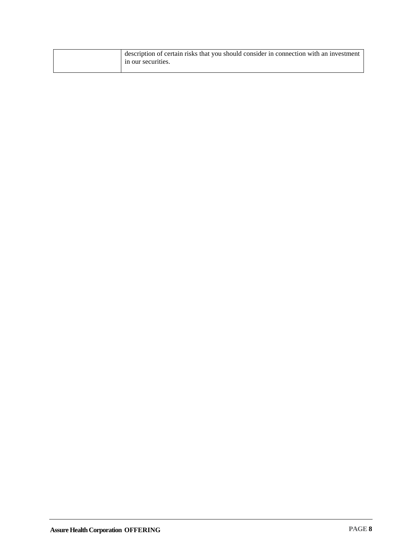| description of certain risks that you should consider in connection with an investment<br>in our securities. |
|--------------------------------------------------------------------------------------------------------------|
|                                                                                                              |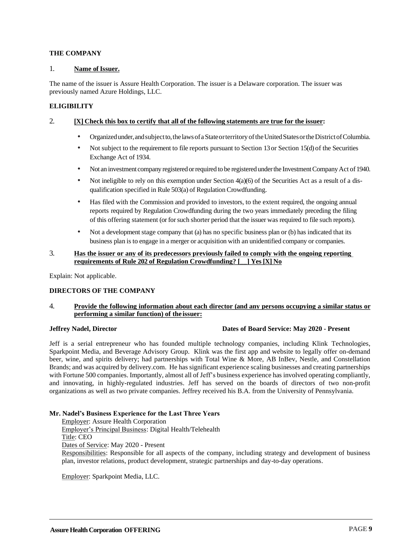#### <span id="page-11-0"></span>**THE COMPANY**

#### 1. **Name of Issuer.**

The name of the issuer is Assure Health Corporation. The issuer is a Delaware corporation. The issuer was previously named Azure Holdings, LLC.

#### <span id="page-11-1"></span>**ELIGIBILITY**

#### 2. **[X] Check this box to certify that all of the following statements are true for the issuer:**

- Organizedunder,andsubjectto,thelawsofaStateorterritory oftheUnitedStatesortheDistrictofColumbia.
- Not subject to the requirement to file reports pursuant to Section 13 or Section 15(d) of the Securities Exchange Act of 1934.
- Not an investment company registered or required to be registered under the Investment Company Act of 1940.
- Not ineligible to rely on this exemption under Section  $4(a)(6)$  of the Securities Act as a result of a disqualification specified in Rule 503(a) of Regulation Crowdfunding.
- Has filed with the Commission and provided to investors, to the extent required, the ongoing annual reports required by Regulation Crowdfunding during the two years immediately preceding the filing of this offering statement (or forsuch shorter period thatthe issuer was required to file such reports).
- Not a development stage company that (a) has no specific business plan or (b) has indicated that its business plan is to engage in a merger or acquisition with an unidentified company or companies.

#### 3. **Has the issuer or any of its predecessors previously failed to comply with the ongoing reporting requirements of Rule 202 of Regulation Crowdfunding? [\_\_] Yes [X] No**

Explain: Not applicable.

#### <span id="page-11-2"></span>**DIRECTORS OF THE COMPANY**

#### 4. **Provide the following information about each director (and any persons occupying a similar status or performing a similar function) of the issuer:**

#### **Jeffrey Nadel, Director Dates of Board Service: May 2020 - Present**

Jeff is a serial entrepreneur who has founded multiple technology companies, including Klink Technologies, Sparkpoint Media, and Beverage Advisory Group. Klink was the first app and website to legally offer on-demand beer, wine, and spirits delivery; had partnerships with Total Wine & More, AB InBev, Nestle, and Constellation Brands; and was acquired by delivery.com. He has significant experience scaling businesses and creating partnerships with Fortune 500 companies. Importantly, almost all of Jeff's business experience has involved operating compliantly, and innovating, in highly-regulated industries. Jeff has served on the boards of directors of two non-profit organizations as well as two private companies. Jeffrey received his B.A. from the University of Pennsylvania.

#### **Mr. Nadel's Business Experience for the Last Three Years**

Employer: Assure Health Corporation Employer's Principal Business: Digital Health/Telehealth Title: CEO Dates of Service: May 2020 - Present Responsibilities: Responsible for all aspects of the company, including strategy and development of business plan, investor relations, product development, strategic partnerships and day-to-day operations.

Employer: Sparkpoint Media, LLC.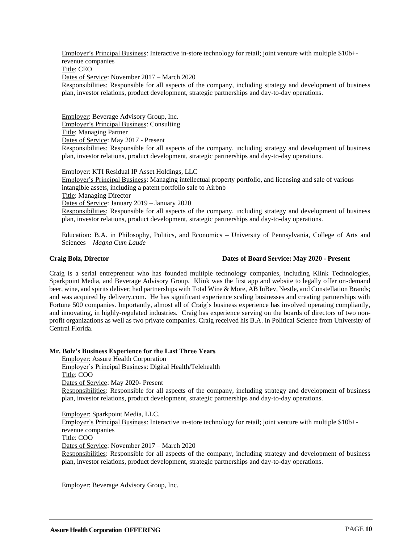Employer's Principal Business: Interactive in-store technology for retail; joint venture with multiple \$10b+ revenue companies Title: CEO Dates of Service: November 2017 – March 2020 Responsibilities: Responsible for all aspects of the company, including strategy and development of business plan, investor relations, product development, strategic partnerships and day-to-day operations.

Employer: Beverage Advisory Group, Inc. Employer's Principal Business: Consulting Title: Managing Partner Dates of Service: May 2017 - Present Responsibilities: Responsible for all aspects of the company, including strategy and development of business plan, investor relations, product development, strategic partnerships and day-to-day operations.

Employer: KTI Residual IP Asset Holdings, LLC Employer's Principal Business: Managing intellectual property portfolio, and licensing and sale of various intangible assets, including a patent portfolio sale to Airbnb Title: Managing Director Dates of Service: January 2019 – January 2020 Responsibilities: Responsible for all aspects of the company, including strategy and development of business plan, investor relations, product development, strategic partnerships and day-to-day operations.

Education: B.A. in Philosophy, Politics, and Economics – University of Pennsylvania, College of Arts and Sciences – *Magna Cum Laude*

#### **Craig Bolz, Director Dates of Board Service: May 2020 - Present**

Craig is a serial entrepreneur who has founded multiple technology companies, including Klink Technologies, Sparkpoint Media, and Beverage Advisory Group. Klink was the first app and website to legally offer on-demand beer, wine, and spirits deliver; had partnerships with Total Wine & More, AB InBev, Nestle, and Constellation Brands; and was acquired by delivery.com. He has significant experience scaling businesses and creating partnerships with Fortune 500 companies. Importantly, almost all of Craig's business experience has involved operating compliantly, and innovating, in highly-regulated industries. Craig has experience serving on the boards of directors of two nonprofit organizations as well as two private companies. Craig received his B.A. in Political Science from University of Central Florida.

#### **Mr. Bolz's Business Experience for the Last Three Years**

Employer: Assure Health Corporation Employer's Principal Business: Digital Health/Telehealth Title: COO Dates of Service: May 2020- Present Responsibilities: Responsible for all aspects of the company, including strategy and development of business plan, investor relations, product development, strategic partnerships and day-to-day operations.

Employer: Sparkpoint Media, LLC.

Employer's Principal Business: Interactive in-store technology for retail; joint venture with multiple \$10b+ revenue companies

Title: COO

Dates of Service: November 2017 – March 2020

Responsibilities: Responsible for all aspects of the company, including strategy and development of business plan, investor relations, product development, strategic partnerships and day-to-day operations.

Employer: Beverage Advisory Group, Inc.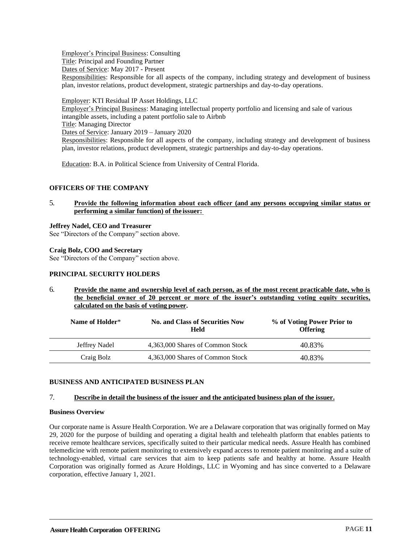Employer's Principal Business: Consulting Title: Principal and Founding Partner Dates of Service: May 2017 - Present Responsibilities: Responsible for all aspects of the company, including strategy and development of business plan, investor relations, product development, strategic partnerships and day-to-day operations.

Employer: KTI Residual IP Asset Holdings, LLC Employer's Principal Business: Managing intellectual property portfolio and licensing and sale of various intangible assets, including a patent portfolio sale to Airbnb Title: Managing Director Dates of Service: January 2019 – January 2020 Responsibilities: Responsible for all aspects of the company, including strategy and development of business plan, investor relations, product development, strategic partnerships and day-to-day operations.

Education: B.A. in Political Science from University of Central Florida.

#### <span id="page-13-0"></span>**OFFICERS OF THE COMPANY**

5. **Provide the following information about each officer (and any persons occupying similar status or performing a similar function) of the issuer:** 

#### **Jeffrey Nadel, CEO and Treasurer**

See "Directors of the Company" section above.

#### **Craig Bolz, COO and Secretary**

See "Directors of the Company" section above.

#### <span id="page-13-1"></span>**PRINCIPAL SECURITY HOLDERS**

6. **Provide the name and ownership level of each person, as of the most recent practicable date, who is the beneficial owner of 20 percent or more of the issuer's outstanding voting equity securities,**  calculated on the basis of voting power.

| Name of Holder* | <b>No. and Class of Securities Now</b><br>Held | % of Voting Power Prior to<br><b>Offering</b> |
|-----------------|------------------------------------------------|-----------------------------------------------|
| Jeffrey Nadel   | 4,363,000 Shares of Common Stock               | 40.83%                                        |
| Craig Bolz      | 4,363,000 Shares of Common Stock               | 40.83%                                        |

#### <span id="page-13-2"></span>**BUSINESS AND ANTICIPATED BUSINESS PLAN**

#### 7. **Describe in detail the business of the issuer and the anticipated business plan of the issuer.**

#### **Business Overview**

Our corporate name is Assure Health Corporation. We are a Delaware corporation that was originally formed on May 29, 2020 for the purpose of building and operating a digital health and telehealth platform that enables patients to receive remote healthcare services, specifically suited to their particular medical needs. Assure Health has combined telemedicine with remote patient monitoring to extensively expand access to remote patient monitoring and a suite of technology-enabled, virtual care services that aim to keep patients safe and healthy at home. Assure Health Corporation was originally formed as Azure Holdings, LLC in Wyoming and has since converted to a Delaware corporation, effective January 1, 2021.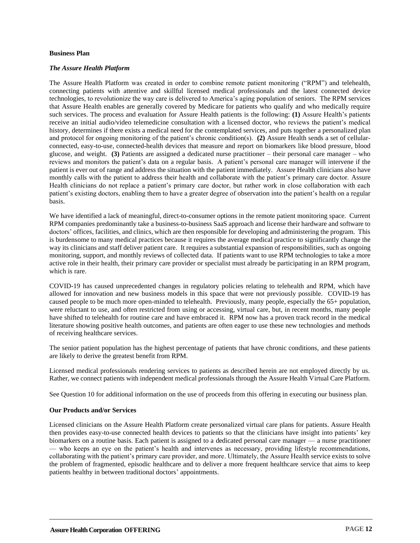#### **Business Plan**

#### *The Assure Health Platform*

The Assure Health Platform was created in order to combine remote patient monitoring ("RPM") and telehealth, connecting patients with attentive and skillful licensed medical professionals and the latest connected device technologies, to revolutionize the way care is delivered to America's aging population of seniors. The RPM services that Assure Health enables are generally covered by Medicare for patients who qualify and who medically require such services. The process and evaluation for Assure Health patients is the following: **(1)** Assure Health's patients receive an initial audio/video telemedicine consultation with a licensed doctor, who reviews the patient's medical history, determines if there exists a medical need for the contemplated services, and puts together a personalized plan and protocol for ongoing monitoring of the patient's chronic condition(s). **(2)** Assure Health sends a set of cellularconnected, easy-to-use, connected-health devices that measure and report on biomarkers like blood pressure, blood glucose, and weight. **(3)** Patients are assigned a dedicated nurse practitioner – their personal care manager – who reviews and monitors the patient's data on a regular basis. A patient's personal care manager will intervene if the patient is ever out of range and address the situation with the patient immediately. Assure Health clinicians also have monthly calls with the patient to address their health and collaborate with the patient's primary care doctor. Assure Health clinicians do not replace a patient's primary care doctor, but rather work in close collaboration with each patient's existing doctors, enabling them to have a greater degree of observation into the patient's health on a regular basis.

We have identified a lack of meaningful, direct-to-consumer options in the remote patient monitoring space. Current RPM companies predominantly take a business-to-business SaaS approach and license their hardware and software to doctors' offices, facilities, and clinics, which are then responsible for developing and administering the program. This is burdensome to many medical practices because it requires the average medical practice to significantly change the way its clinicians and staff deliver patient care. It requires a substantial expansion of responsibilities, such as ongoing monitoring, support, and monthly reviews of collected data. If patients want to use RPM technologies to take a more active role in their health, their primary care provider or specialist must already be participating in an RPM program, which is rare.

COVID-19 has caused unprecedented changes in regulatory policies relating to telehealth and RPM, which have allowed for innovation and new business models in this space that were not previously possible. COVID-19 has caused people to be much more open-minded to telehealth. Previously, many people, especially the 65+ population, were reluctant to use, and often restricted from using or accessing, virtual care, but, in recent months, many people have shifted to telehealth for routine care and have embraced it. RPM now has a proven track record in the medical literature showing positive health outcomes, and patients are often eager to use these new technologies and methods of receiving healthcare services.

The senior patient population has the highest percentage of patients that have chronic conditions, and these patients are likely to derive the greatest benefit from RPM.

Licensed medical professionals rendering services to patients as described herein are not employed directly by us. Rather, we connect patients with independent medical professionals through the Assure Health Virtual Care Platform.

See Question 10 for additional information on the use of proceeds from this offering in executing our business plan.

#### **Our Products and/or Services**

Licensed clinicians on the Assure Health Platform create personalized virtual care plans for patients. Assure Health then provides easy-to-use connected health devices to patients so that the clinicians have insight into patients' key biomarkers on a routine basis. Each patient is assigned to a dedicated personal care manager — a nurse practitioner — who keeps an eye on the patient's health and intervenes as necessary, providing lifestyle recommendations, collaborating with the patient's primary care provider, and more. Ultimately, the Assure Health service exists to solve the problem of fragmented, episodic healthcare and to deliver a more frequent healthcare service that aims to keep patients healthy in between traditional doctors' appointments.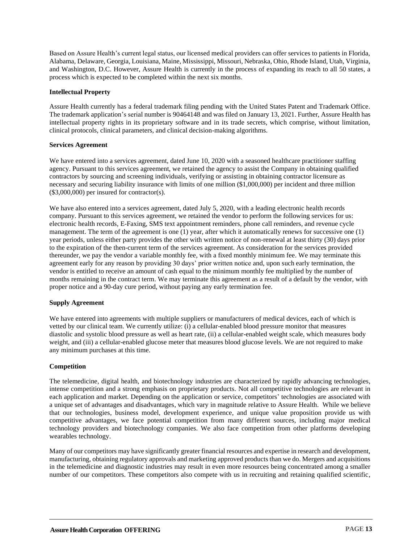Based on Assure Health's current legal status, our licensed medical providers can offer services to patients in Florida, Alabama, Delaware, Georgia, Louisiana, Maine, Mississippi, Missouri, Nebraska, Ohio, Rhode Island, Utah, Virginia, and Washington, D.C. However, Assure Health is currently in the process of expanding its reach to all 50 states, a process which is expected to be completed within the next six months.

#### **Intellectual Property**

Assure Health currently has a federal trademark filing pending with the United States Patent and Trademark Office. The trademark application's serial number is 90464148 and was filed on January 13, 2021. Further, Assure Health has intellectual property rights in its proprietary software and in its trade secrets, which comprise, without limitation, clinical protocols, clinical parameters, and clinical decision-making algorithms.

#### **Services Agreement**

We have entered into a services agreement, dated June 10, 2020 with a seasoned healthcare practitioner staffing agency. Pursuant to this services agreement, we retained the agency to assist the Company in obtaining qualified contractors by sourcing and screening individuals, verifying or assisting in obtaining contractor licensure as necessary and securing liability insurance with limits of one million (\$1,000,000) per incident and three million  $($3,000,000)$  per insured for contractor $(s)$ .

We have also entered into a services agreement, dated July 5, 2020, with a leading electronic health records company. Pursuant to this services agreement, we retained the vendor to perform the following services for us: electronic health records, E-Faxing, SMS text appointment reminders, phone call reminders, and revenue cycle management. The term of the agreement is one  $(1)$  year, after which it automatically renews for successive one  $(1)$ year periods, unless either party provides the other with written notice of non-renewal at least thirty (30) days prior to the expiration of the then-current term of the services agreement. As consideration for the services provided thereunder, we pay the vendor a variable monthly fee, with a fixed monthly minimum fee. We may terminate this agreement early for any reason by providing 30 days' prior written notice and, upon such early termination, the vendor is entitled to receive an amount of cash equal to the minimum monthly fee multiplied by the number of months remaining in the contract term. We may terminate this agreement as a result of a default by the vendor, with proper notice and a 90-day cure period, without paying any early termination fee.

#### **Supply Agreement**

We have entered into agreements with multiple suppliers or manufacturers of medical devices, each of which is vetted by our clinical team. We currently utilize: (i) a cellular-enabled blood pressure monitor that measures diastolic and systolic blood pressure as well as heart rate, (ii) a cellular-enabled weight scale, which measures body weight, and (iii) a cellular-enabled glucose meter that measures blood glucose levels. We are not required to make any minimum purchases at this time.

#### **Competition**

The telemedicine, digital health, and biotechnology industries are characterized by rapidly advancing technologies, intense competition and a strong emphasis on proprietary products. Not all competitive technologies are relevant in each application and market. Depending on the application or service, competitors' technologies are associated with a unique set of advantages and disadvantages, which vary in magnitude relative to Assure Health. While we believe that our technologies, business model, development experience, and unique value proposition provide us with competitive advantages, we face potential competition from many different sources, including major medical technology providers and biotechnology companies. We also face competition from other platforms developing wearables technology.

Many of our competitors may have significantly greater financial resources and expertise in research and development, manufacturing, obtaining regulatory approvals and marketing approved products than we do. Mergers and acquisitions in the telemedicine and diagnostic industries may result in even more resources being concentrated among a smaller number of our competitors. These competitors also compete with us in recruiting and retaining qualified scientific,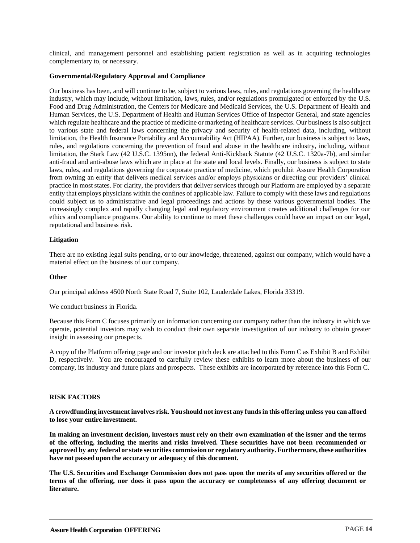clinical, and management personnel and establishing patient registration as well as in acquiring technologies complementary to, or necessary.

#### **Governmental/Regulatory Approval and Compliance**

Our business has been, and will continue to be, subject to various laws, rules, and regulations governing the healthcare industry, which may include, without limitation, laws, rules, and/or regulations promulgated or enforced by the U.S. Food and Drug Administration, the Centers for Medicare and Medicaid Services, the U.S. Department of Health and Human Services, the U.S. Department of Health and Human Services Office of Inspector General, and state agencies which regulate healthcare and the practice of medicine or marketing of healthcare services. Our business is also subject to various state and federal laws concerning the privacy and security of health-related data, including, without limitation, the Health Insurance Portability and Accountability Act (HIPAA). Further, our business is subject to laws, rules, and regulations concerning the prevention of fraud and abuse in the healthcare industry, including, without limitation, the Stark Law (42 U.S.C. 1395nn), the federal Anti-Kickback Statute (42 U.S.C. 1320a-7b), and similar anti-fraud and anti-abuse laws which are in place at the state and local levels. Finally, our business is subject to state laws, rules, and regulations governing the corporate practice of medicine, which prohibit Assure Health Corporation from owning an entity that delivers medical services and/or employs physicians or directing our providers' clinical practice in most states. For clarity, the providers that deliver services through our Platform are employed by a separate entity that employs physicians within the confines of applicable law. Failure to comply with these laws and regulations could subject us to administrative and legal proceedings and actions by these various governmental bodies. The increasingly complex and rapidly changing legal and regulatory environment creates additional challenges for our ethics and compliance programs. Our ability to continue to meet these challenges could have an impact on our legal, reputational and business risk.

#### **Litigation**

There are no existing legal suits pending, or to our knowledge, threatened, against our company, which would have a material effect on the business of our company.

#### **Other**

Our principal address 4500 North State Road 7, Suite 102, Lauderdale Lakes, Florida 33319.

We conduct business in Florida.

Because this Form C focuses primarily on information concerning our company rather than the industry in which we operate, potential investors may wish to conduct their own separate investigation of our industry to obtain greater insight in assessing our prospects.

A copy of the Platform offering page and our investor pitch deck are attached to this Form C as Exhibit B and Exhibit D, respectively. You are encouraged to carefully review these exhibits to learn more about the business of our company, its industry and future plans and prospects. These exhibits are incorporated by reference into this Form C.

#### <span id="page-16-0"></span>**RISK FACTORS**

**A crowdfunding investment involves risk. Youshouldnot invest any fundsinthis offeringunless youcanafford to lose your entire investment.**

**In making an investment decision, investors must rely on their own examination of the issuer and the terms of the offering, including the merits and risks involved. These securities have not been recommended or approved by any federal or state securities commissionor regulatory authority. Furthermore,these authorities** have not passed upon the accuracy or adequacy of this document.

**The U.S. Securities and Exchange Commission does not pass upon the merits of any securities offered or the terms of the offering, nor does it pass upon the accuracy or completeness of any offering document or literature.**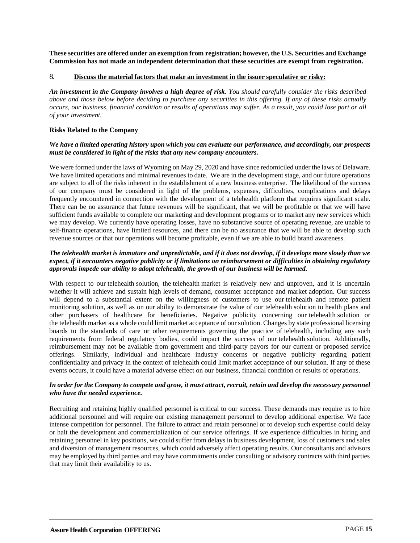**These securities are offered under an exemption from registration; however, the U.S. Securities and Exchange Commission has not made an independent determination that these securities are exempt from registration.**

#### 8. **Discuss the material factors that make an investment in the issuer speculative or risky:**

*An investment in the Company involves a high degree of risk. You should carefully consider the risks described above and those below before deciding to purchase any securities in this offering. If any of these risks actually occurs, our business, financial condition or results of operations may suffer. As a result, you could lose part or all of your investment.*

#### **Risks Related to the Company**

#### *We have a limited operating history upon which you can evaluate our performance, and accordingly, our prospects must be considered in light of the risks that any new company encounters.*

We were formed under the laws of Wyoming on May 29, 2020 and have since redomiciled under the laws of Delaware. We have limited operations and minimal revenues to date. We are in the development stage, and our future operations are subject to all of the risks inherent in the establishment of a new business enterprise. The likelihood of the success of our company must be considered in light of the problems, expenses, difficulties, complications and delays frequently encountered in connection with the development of a telehealth platform that requires significant scale. There can be no assurance that future revenues will be significant, that we will be profitable or that we will have sufficient funds available to complete our marketing and development programs or to market any new services which we may develop. We currently have operating losses, have no substantive source of operating revenue, are unable to self-finance operations, have limited resources, and there can be no assurance that we will be able to develop such revenue sources or that our operations will become profitable, even if we are able to build brand awareness.

#### *The telehealth market is immature and unpredictable, and if it does not develop, if it develops more slowly than we expect, if it encounters negative publicity or if limitations on reimbursement or difficulties in obtaining regulatory approvals impede our ability to adopt telehealth, the growth of our business will be harmed.*

With respect to our telehealth solution, the telehealth market is relatively new and unproven, and it is uncertain whether it will achieve and sustain high levels of demand, consumer acceptance and market adoption. Our success will depend to a substantial extent on the willingness of customers to use our telehealth and remote patient monitoring solution, as well as on our ability to demonstrate the value of our telehealth solution to health plans and other purchasers of healthcare for beneficiaries. Negative publicity concerning our telehealth solution or the telehealth market as a whole could limit market acceptance of our solution. Changes by state professional licensing boards to the standards of care or other requirements governing the practice of telehealth, including any such requirements from federal regulatory bodies, could impact the success of our telehealth solution. Additionally, reimbursement may not be available from government and third-party payors for our current or proposed service offerings. Similarly, individual and healthcare industry concerns or negative publicity regarding patient confidentiality and privacy in the context of telehealth could limit market acceptance of our solution. If any of these events occurs, it could have a material adverse effect on our business, financial condition or results of operations.

#### *In order for the Company to compete and grow, it must attract, recruit, retain and develop the necessary personnel who have the needed experience.*

Recruiting and retaining highly qualified personnel is critical to our success. These demands may require us to hire additional personnel and will require our existing management personnel to develop additional expertise. We face intense competition for personnel. The failure to attract and retain personnel or to develop such expertise could delay or halt the development and commercialization of our service offerings. If we experience difficulties in hiring and retaining personnel in key positions, we could suffer from delays in business development, loss of customers and sales and diversion of management resources, which could adversely affect operating results. Our consultants and advisors may be employed by third parties and may have commitments under consulting or advisory contracts with third parties that may limit their availability to us.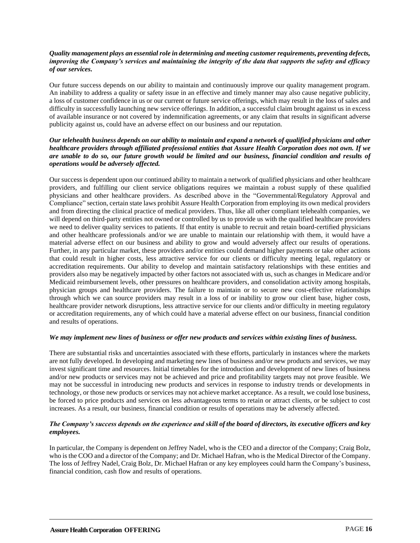#### *Quality management plays an essential role in determining and meeting customer requirements, preventing defects, improving the Company's services and maintaining the integrity of the data that supports the safety and efficacy of our services.*

Our future success depends on our ability to maintain and continuously improve our quality management program. An inability to address a quality or safety issue in an effective and timely manner may also cause negative publicity, a loss of customer confidence in us or our current or future service offerings, which may result in the loss of sales and difficulty in successfully launching new service offerings. In addition, a successful claim brought against us in excess of available insurance or not covered by indemnification agreements, or any claim that results in significant adverse publicity against us, could have an adverse effect on our business and our reputation.

#### *Our telehealth business depends on our ability to maintain and expand a network of qualified physicians and other healthcare providers through affiliated professional entities that Assure Health Corporation does not own. If we are unable to do so, our future growth would be limited and our business, financial condition and results of operations would be adversely affected.*

Our success is dependent upon our continued ability to maintain a network of qualified physicians and other healthcare providers, and fulfilling our client service obligations requires we maintain a robust supply of these qualified physicians and other healthcare providers. As described above in the "Governmental/Regulatory Approval and Compliance" section, certain state laws prohibit Assure Health Corporation from employing its own medical providers and from directing the clinical practice of medical providers. Thus, like all other compliant telehealth companies, we will depend on third-party entities not owned or controlled by us to provide us with the qualified healthcare providers we need to deliver quality services to patients. If that entity is unable to recruit and retain board-certified physicians and other healthcare professionals and/or we are unable to maintain our relationship with them, it would have a material adverse effect on our business and ability to grow and would adversely affect our results of operations. Further, in any particular market, these providers and/or entities could demand higher payments or take other actions that could result in higher costs, less attractive service for our clients or difficulty meeting legal, regulatory or accreditation requirements. Our ability to develop and maintain satisfactory relationships with these entities and providers also may be negatively impacted by other factors not associated with us, such as changes in Medicare and/or Medicaid reimbursement levels, other pressures on healthcare providers, and consolidation activity among hospitals, physician groups and healthcare providers. The failure to maintain or to secure new cost-effective relationships through which we can source providers may result in a loss of or inability to grow our client base, higher costs, healthcare provider network disruptions, less attractive service for our clients and/or difficulty in meeting regulatory or accreditation requirements, any of which could have a material adverse effect on our business, financial condition and results of operations.

#### *We may implement new lines of business or offer new products and services within existing lines of business.*

There are substantial risks and uncertainties associated with these efforts, particularly in instances where the markets are not fully developed. In developing and marketing new lines of business and/or new products and services, we may invest significant time and resources. Initial timetables for the introduction and development of new lines of business and/or new products or services may not be achieved and price and profitability targets may not prove feasible. We may not be successful in introducing new products and services in response to industry trends or developments in technology, or those new products or services may not achieve market acceptance. As a result, we could lose business, be forced to price products and services on less advantageous terms to retain or attract clients, or be subject to cost increases. As a result, our business, financial condition or results of operations may be adversely affected.

#### *The Company's success depends on the experience and skill of the board of directors, its executive officers and key employees.*

In particular, the Company is dependent on Jeffrey Nadel, who is the CEO and a director of the Company; Craig Bolz, who is the COO and a director of the Company; and Dr. Michael Hafran, who is the Medical Director of the Company. The loss of Jeffrey Nadel, Craig Bolz, Dr. Michael Hafran or any key employees could harm the Company's business, financial condition, cash flow and results of operations.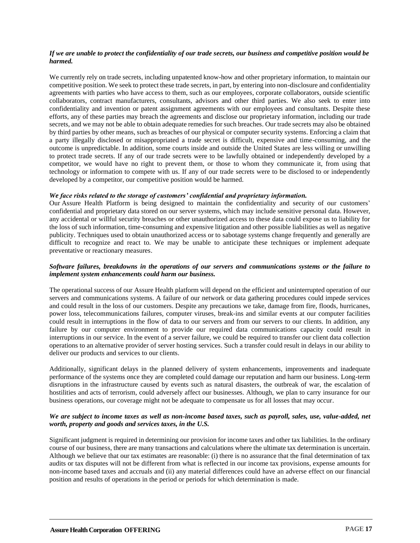#### *If we are unable to protect the confidentiality of our trade secrets, our business and competitive position would be harmed.*

We currently rely on trade secrets, including unpatented know-how and other proprietary information, to maintain our competitive position. We seek to protect these trade secrets, in part, by entering into non-disclosure and confidentiality agreements with parties who have access to them, such as our employees, corporate collaborators, outside scientific collaborators, contract manufacturers, consultants, advisors and other third parties. We also seek to enter into confidentiality and invention or patent assignment agreements with our employees and consultants. Despite these efforts, any of these parties may breach the agreements and disclose our proprietary information, including our trade secrets, and we may not be able to obtain adequate remedies for such breaches. Our trade secrets may also be obtained by third parties by other means, such as breaches of our physical or computer security systems. Enforcing a claim that a party illegally disclosed or misappropriated a trade secret is difficult, expensive and time-consuming, and the outcome is unpredictable. In addition, some courts inside and outside the United States are less willing or unwilling to protect trade secrets. If any of our trade secrets were to be lawfully obtained or independently developed by a competitor, we would have no right to prevent them, or those to whom they communicate it, from using that technology or information to compete with us. If any of our trade secrets were to be disclosed to or independently developed by a competitor, our competitive position would be harmed.

#### *We face risks related to the storage of customers' confidential and proprietary information.*

Our Assure Health Platform is being designed to maintain the confidentiality and security of our customers' confidential and proprietary data stored on our server systems, which may include sensitive personal data. However, any accidental or willful security breaches or other unauthorized access to these data could expose us to liability for the loss of such information, time-consuming and expensive litigation and other possible liabilities as well as negative publicity. Techniques used to obtain unauthorized access or to sabotage systems change frequently and generally are difficult to recognize and react to. We may be unable to anticipate these techniques or implement adequate preventative or reactionary measures.

#### *Software failures, breakdowns in the operations of our servers and communications systems or the failure to implement system enhancements could harm our business.*

The operational success of our Assure Health platform will depend on the efficient and uninterrupted operation of our servers and communications systems. A failure of our network or data gathering procedures could impede services and could result in the loss of our customers. Despite any precautions we take, damage from fire, floods, hurricanes, power loss, telecommunications failures, computer viruses, break-ins and similar events at our computer facilities could result in interruptions in the flow of data to our servers and from our servers to our clients. In addition, any failure by our computer environment to provide our required data communications capacity could result in interruptions in our service. In the event of a server failure, we could be required to transfer our client data collection operations to an alternative provider of server hosting services. Such a transfer could result in delays in our ability to deliver our products and services to our clients.

Additionally, significant delays in the planned delivery of system enhancements, improvements and inadequate performance of the systems once they are completed could damage our reputation and harm our business. Long-term disruptions in the infrastructure caused by events such as natural disasters, the outbreak of war, the escalation of hostilities and acts of terrorism, could adversely affect our businesses. Although, we plan to carry insurance for our business operations, our coverage might not be adequate to compensate us for all losses that may occur.

#### *We are subject to income taxes as well as non-income based taxes, such as payroll, sales, use, value-added, net worth, property and goods and services taxes, in the U.S.*

Significant judgment is required in determining our provision for income taxes and other tax liabilities. In the ordinary course of our business, there are many transactions and calculations where the ultimate tax determination is uncertain. Although we believe that our tax estimates are reasonable: (i) there is no assurance that the final determination of tax audits or tax disputes will not be different from what is reflected in our income tax provisions, expense amounts for non-income based taxes and accruals and (ii) any material differences could have an adverse effect on our financial position and results of operations in the period or periods for which determination is made.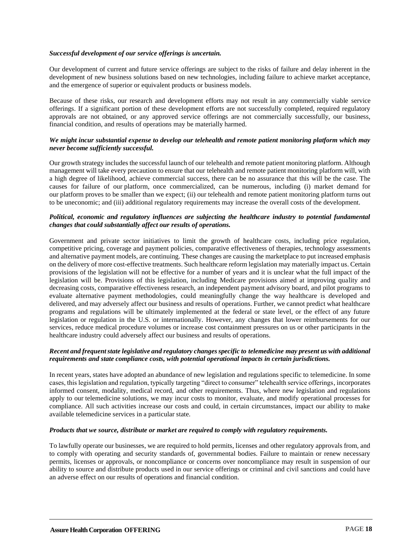#### *Successful development of our service offerings is uncertain.*

Our development of current and future service offerings are subject to the risks of failure and delay inherent in the development of new business solutions based on new technologies, including failure to achieve market acceptance, and the emergence of superior or equivalent products or business models.

Because of these risks, our research and development efforts may not result in any commercially viable service offerings. If a significant portion of these development efforts are not successfully completed, required regulatory approvals are not obtained, or any approved service offerings are not commercially successfully, our business, financial condition, and results of operations may be materially harmed.

#### *We might incur substantial expense to develop our telehealth and remote patient monitoring platform which may never become sufficiently successful.*

Our growth strategy includes the successful launch of our telehealth and remote patient monitoring platform. Although management will take every precaution to ensure that our telehealth and remote patient monitoring platform will, with a high degree of likelihood, achieve commercial success, there can be no assurance that this will be the case. The causes for failure of our platform, once commercialized, can be numerous, including (i) market demand for our platform proves to be smaller than we expect; (ii) our telehealth and remote patient monitoring platform turns out to be uneconomic; and (iii) additional regulatory requirements may increase the overall costs of the development.

#### *Political, economic and regulatory influences are subjecting the healthcare industry to potential fundamental changes that could substantially affect our results of operations.*

Government and private sector initiatives to limit the growth of healthcare costs, including price regulation, competitive pricing, coverage and payment policies, comparative effectiveness of therapies, technology assessments and alternative payment models, are continuing. These changes are causing the marketplace to put increased emphasis on the delivery of more cost-effective treatments. Such healthcare reform legislation may materially impact us. Certain provisions of the legislation will not be effective for a number of years and it is unclear what the full impact of the legislation will be. Provisions of this legislation, including Medicare provisions aimed at improving quality and decreasing costs, comparative effectiveness research, an independent payment advisory board, and pilot programs to evaluate alternative payment methodologies, could meaningfully change the way healthcare is developed and delivered, and may adversely affect our business and results of operations. Further, we cannot predict what healthcare programs and regulations will be ultimately implemented at the federal or state level, or the effect of any future legislation or regulation in the U.S. or internationally. However, any changes that lower reimbursements for our services, reduce medical procedure volumes or increase cost containment pressures on us or other participants in the healthcare industry could adversely affect our business and results of operations.

#### *Recent and frequent state legislative and regulatory changes specific to telemedicine may present us with additional requirements and state compliance costs, with potential operational impacts in certain jurisdictions.*

In recent years, states have adopted an abundance of new legislation and regulations specific to telemedicine. In some cases, this legislation and regulation, typically targeting "direct to consumer" telehealth service offerings,incorporates informed consent, modality, medical record, and other requirements. Thus, where new legislation and regulations apply to our telemedicine solutions, we may incur costs to monitor, evaluate, and modify operational processes for compliance. All such activities increase our costs and could, in certain circumstances, impact our ability to make available telemedicine services in a particular state.

#### *Products that we source, distribute or market are required to comply with regulatory requirements.*

To lawfully operate our businesses, we are required to hold permits, licenses and other regulatory approvals from, and to comply with operating and security standards of, governmental bodies. Failure to maintain or renew necessary permits, licenses or approvals, or noncompliance or concerns over noncompliance may result in suspension of our ability to source and distribute products used in our service offerings or criminal and civil sanctions and could have an adverse effect on our results of operations and financial condition.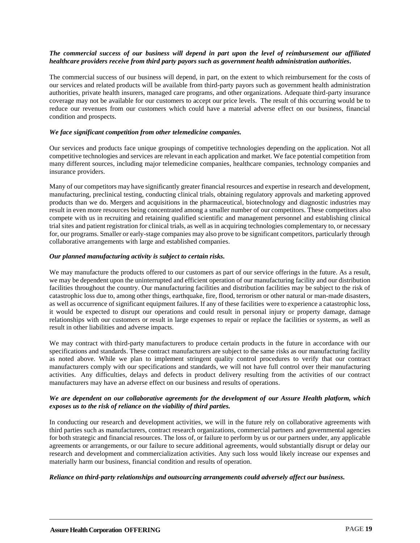#### *The commercial success of our business will depend in part upon the level of reimbursement our affiliated healthcare providers receive from third party payors such as government health administration authorities.*

The commercial success of our business will depend, in part, on the extent to which reimbursement for the costs of our services and related products will be available from third-party payors such as government health administration authorities, private health insurers, managed care programs, and other organizations. Adequate third-party insurance coverage may not be available for our customers to accept our price levels. The result of this occurring would be to reduce our revenues from our customers which could have a material adverse effect on our business, financial condition and prospects.

#### *We face significant competition from other telemedicine companies.*

Our services and products face unique groupings of competitive technologies depending on the application. Not all competitive technologies and services are relevant in each application and market. We face potential competition from many different sources, including major telemedicine companies, healthcare companies, technology companies and insurance providers.

Many of our competitors may have significantly greater financial resources and expertise in research and development, manufacturing, preclinical testing, conducting clinical trials, obtaining regulatory approvals and marketing approved products than we do. Mergers and acquisitions in the pharmaceutical, biotechnology and diagnostic industries may result in even more resources being concentrated among a smaller number of our competitors. These competitors also compete with us in recruiting and retaining qualified scientific and management personnel and establishing clinical trial sites and patient registration for clinical trials, as well as in acquiring technologies complementary to, or necessary for, our programs. Smaller or early-stage companies may also prove to be significant competitors, particularly through collaborative arrangements with large and established companies.

#### *Our planned manufacturing activity is subject to certain risks.*

We may manufacture the products offered to our customers as part of our service offerings in the future. As a result, we may be dependent upon the uninterrupted and efficient operation of our manufacturing facility and our distribution facilities throughout the country. Our manufacturing facilities and distribution facilities may be subject to the risk of catastrophic loss due to, among other things, earthquake, fire, flood, terrorism or other natural or man-made disasters, as well as occurrence of significant equipment failures. If any of these facilities were to experience a catastrophic loss, it would be expected to disrupt our operations and could result in personal injury or property damage, damage relationships with our customers or result in large expenses to repair or replace the facilities or systems, as well as result in other liabilities and adverse impacts.

We may contract with third-party manufacturers to produce certain products in the future in accordance with our specifications and standards. These contract manufacturers are subject to the same risks as our manufacturing facility as noted above. While we plan to implement stringent quality control procedures to verify that our contract manufacturers comply with our specifications and standards, we will not have full control over their manufacturing activities. Any difficulties, delays and defects in product delivery resulting from the activities of our contract manufacturers may have an adverse effect on our business and results of operations.

#### *We are dependent on our collaborative agreements for the development of our Assure Health platform, which exposes us to the risk of reliance on the viability of third parties.*

In conducting our research and development activities, we will in the future rely on collaborative agreements with third parties such as manufacturers, contract research organizations, commercial partners and governmental agencies for both strategic and financial resources. The loss of, or failure to perform by us or our partners under, any applicable agreements or arrangements, or our failure to secure additional agreements, would substantially disrupt or delay our research and development and commercialization activities. Any such loss would likely increase our expenses and materially harm our business, financial condition and results of operation.

#### *Reliance on third-party relationships and outsourcing arrangements could adversely affect our business.*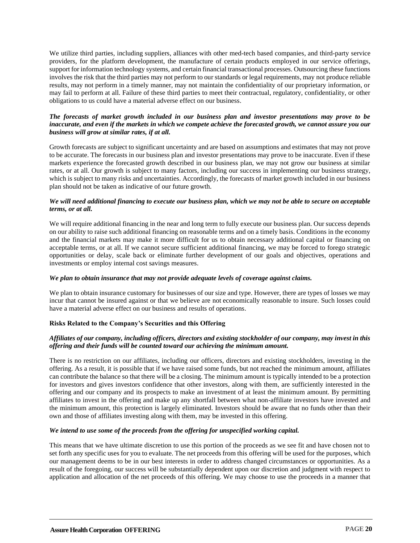We utilize third parties, including suppliers, alliances with other med-tech based companies, and third-party service providers, for the platform development, the manufacture of certain products employed in our service offerings, support for information technology systems, and certain financial transactional processes. Outsourcing these functions involves the risk that the third parties may not perform to our standards or legal requirements, may not produce reliable results, may not perform in a timely manner, may not maintain the confidentiality of our proprietary information, or may fail to perform at all. Failure of these third parties to meet their contractual, regulatory, confidentiality, or other obligations to us could have a material adverse effect on our business.

#### *The forecasts of market growth included in our business plan and investor presentations may prove to be inaccurate, and even if the markets in which we compete achieve the forecasted growth, we cannot assure you our business will grow at similar rates, if at all.*

Growth forecasts are subject to significant uncertainty and are based on assumptions and estimates that may not prove to be accurate. The forecasts in our business plan and investor presentations may prove to be inaccurate. Even if these markets experience the forecasted growth described in our business plan, we may not grow our business at similar rates, or at all. Our growth is subject to many factors, including our success in implementing our business strategy, which is subject to many risks and uncertainties. Accordingly, the forecasts of market growth included in our business plan should not be taken as indicative of our future growth.

#### *We will need additional financing to execute our business plan, which we may not be able to secure on acceptable terms, or at all.*

We will require additional financing in the near and long term to fully execute our business plan. Our success depends on our ability to raise such additional financing on reasonable terms and on a timely basis. Conditions in the economy and the financial markets may make it more difficult for us to obtain necessary additional capital or financing on acceptable terms, or at all. If we cannot secure sufficient additional financing, we may be forced to forego strategic opportunities or delay, scale back or eliminate further development of our goals and objectives, operations and investments or employ internal cost savings measures.

#### *We plan to obtain insurance that may not provide adequate levels of coverage against claims.*

We plan to obtain insurance customary for businesses of our size and type. However, there are types of losses we may incur that cannot be insured against or that we believe are not economically reasonable to insure. Such losses could have a material adverse effect on our business and results of operations.

#### **Risks Related to the Company's Securities and this Offering**

#### *Affiliates of our company, including officers, directors and existing stockholder of our company, may invest in this offering and their funds will be counted toward our achieving the minimum amount.*

There is no restriction on our affiliates, including our officers, directors and existing stockholders, investing in the offering. As a result, it is possible that if we have raised some funds, but not reached the minimum amount, affiliates can contribute the balance so that there will be a closing. The minimum amount is typically intended to be a protection for investors and gives investors confidence that other investors, along with them, are sufficiently interested in the offering and our company and its prospects to make an investment of at least the minimum amount. By permitting affiliates to invest in the offering and make up any shortfall between what non-affiliate investors have invested and the minimum amount, this protection is largely eliminated. Investors should be aware that no funds other than their own and those of affiliates investing along with them, may be invested in this offering.

#### *We intend to use some of the proceeds from the offering for unspecified working capital.*

This means that we have ultimate discretion to use this portion of the proceeds as we see fit and have chosen not to set forth any specific uses for you to evaluate. The net proceeds from this offering will be used for the purposes, which our management deems to be in our best interests in order to address changed circumstances or opportunities. As a result of the foregoing, our success will be substantially dependent upon our discretion and judgment with respect to application and allocation of the net proceeds of this offering. We may choose to use the proceeds in a manner that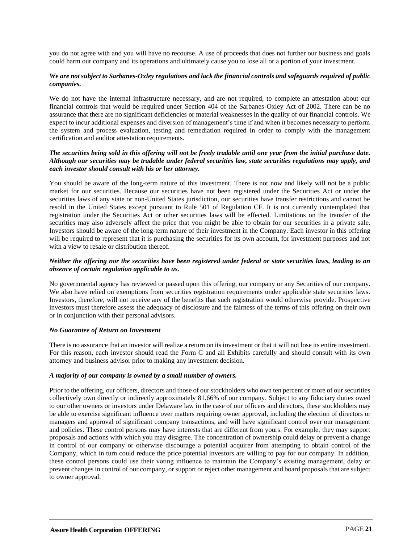you do not agree with and you will have no recourse. A use of proceeds that does not further our business and goals could harm our company and its operations and ultimately cause you to lose all or a portion of your investment.

#### *We are not subject to Sarbanes-Oxley regulations and lack the financial controls and safeguards required of public companies.*

We do not have the internal infrastructure necessary, and are not required, to complete an attestation about our financial controls that would be required under Section 404 of the Sarbanes-Oxley Act of 2002. There can be no assurance that there are no significant deficiencies or material weaknesses in the quality of our financial controls. We expect to incur additional expenses and diversion of management's time if and when it becomes necessary to perform the system and process evaluation, testing and remediation required in order to comply with the management certification and auditor attestation requirements.

#### *The securities being sold in this offering will not be freely tradable until one year from the initial purchase date. Although our securities may be tradable under federal securities law, state securities regulations may apply, and each investor should consult with his or her attorney.*

You should be aware of the long-term nature of this investment. There is not now and likely will not be a public market for our securities. Because our securities have not been registered under the Securities Act or under the securities laws of any state or non-United States jurisdiction, our securities have transfer restrictions and cannot be resold in the United States except pursuant to Rule 501 of Regulation CF. It is not currently contemplated that registration under the Securities Act or other securities laws will be effected. Limitations on the transfer of the securities may also adversely affect the price that you might be able to obtain for our securities in a private sale. Investors should be aware of the long-term nature of their investment in the Company. Each investor in this offering will be required to represent that it is purchasing the securities for its own account, for investment purposes and not with a view to resale or distribution thereof.

#### *Neither the offering nor the securities have been registered under federal or state securities laws, leading to an absence of certain regulation applicable to us.*

No governmental agency has reviewed or passed upon this offering, our company or any Securities of our company. We also have relied on exemptions from securities registration requirements under applicable state securities laws. Investors, therefore, will not receive any of the benefits that such registration would otherwise provide. Prospective investors must therefore assess the adequacy of disclosure and the fairness of the terms of this offering on their own or in conjunction with their personal advisors.

#### *No Guarantee of Return on Investment*

There is no assurance that an investor will realize a return on its investment or that it will not lose its entire investment. For this reason, each investor should read the Form C and all Exhibits carefully and should consult with its own attorney and business advisor prior to making any investment decision.

#### *A majority of our company is owned by a small number of owners.*

Prior to the offering, our officers, directors and those of our stockholders who own ten percent or more of our securities collectively own directly or indirectly approximately 81.66% of our company. Subject to any fiduciary duties owed to our other owners or investors under Delaware law in the case of our officers and directors, these stockholders may be able to exercise significant influence over matters requiring owner approval, including the election of directors or managers and approval of significant company transactions, and will have significant control over our management and policies. These control persons may have interests that are different from yours. For example, they may support proposals and actions with which you may disagree. The concentration of ownership could delay or prevent a change in control of our company or otherwise discourage a potential acquirer from attempting to obtain control of the Company, which in turn could reduce the price potential investors are willing to pay for our company. In addition, these control persons could use their voting influence to maintain the Company's existing management, delay or prevent changes in control of our company, or support or reject other management and board proposals that are subject to owner approval.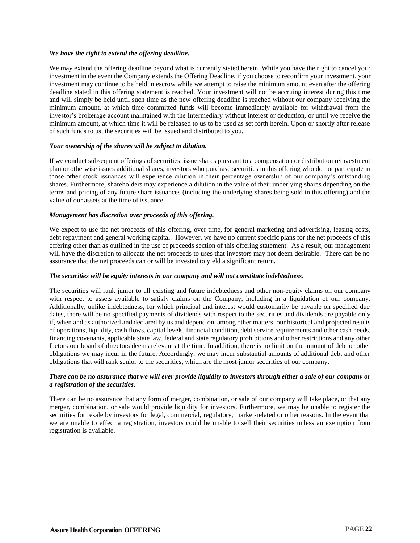#### *We have the right to extend the offering deadline.*

We may extend the offering deadline beyond what is currently stated herein. While you have the right to cancel your investment in the event the Company extends the Offering Deadline, if you choose to reconfirm your investment, your investment may continue to be held in escrow while we attempt to raise the minimum amount even after the offering deadline stated in this offering statement is reached. Your investment will not be accruing interest during this time and will simply be held until such time as the new offering deadline is reached without our company receiving the minimum amount, at which time committed funds will become immediately available for withdrawal from the investor's brokerage account maintained with the Intermediary without interest or deduction, or until we receive the minimum amount, at which time it will be released to us to be used as set forth herein. Upon or shortly after release of such funds to us, the securities will be issued and distributed to you.

#### *Your ownership of the shares will be subject to dilution.*

If we conduct subsequent offerings of securities, issue shares pursuant to a compensation or distribution reinvestment plan or otherwise issues additional shares, investors who purchase securities in this offering who do not participate in those other stock issuances will experience dilution in their percentage ownership of our company's outstanding shares. Furthermore, shareholders may experience a dilution in the value of their underlying shares depending on the terms and pricing of any future share issuances (including the underlying shares being sold in this offering) and the value of our assets at the time of issuance.

#### *Management has discretion over proceeds of this offering.*

We expect to use the net proceeds of this offering, over time, for general marketing and advertising, leasing costs, debt repayment and general working capital. However, we have no current specific plans for the net proceeds of this offering other than as outlined in the use of proceeds section of this offering statement. As a result, our management will have the discretion to allocate the net proceeds to uses that investors may not deem desirable. There can be no assurance that the net proceeds can or will be invested to yield a significant return.

#### *The securities will be equity interests in our company and will not constitute indebtedness.*

The securities will rank junior to all existing and future indebtedness and other non-equity claims on our company with respect to assets available to satisfy claims on the Company, including in a liquidation of our company. Additionally, unlike indebtedness, for which principal and interest would customarily be payable on specified due dates, there will be no specified payments of dividends with respect to the securities and dividends are payable only if, when and as authorized and declared by us and depend on, among other matters, our historical and projected results of operations, liquidity, cash flows, capital levels, financial condition, debt service requirements and other cash needs, financing covenants, applicable state law, federal and state regulatory prohibitions and other restrictions and any other factors our board of directors deems relevant at the time. In addition, there is no limit on the amount of debt or other obligations we may incur in the future. Accordingly, we may incur substantial amounts of additional debt and other obligations that will rank senior to the securities, which are the most junior securities of our company.

#### *There can be no assurance that we will ever provide liquidity to investors through either a sale of our company or a registration of the securities.*

There can be no assurance that any form of merger, combination, or sale of our company will take place, or that any merger, combination, or sale would provide liquidity for investors. Furthermore, we may be unable to register the securities for resale by investors for legal, commercial, regulatory, market-related or other reasons. In the event that we are unable to effect a registration, investors could be unable to sell their securities unless an exemption from registration is available.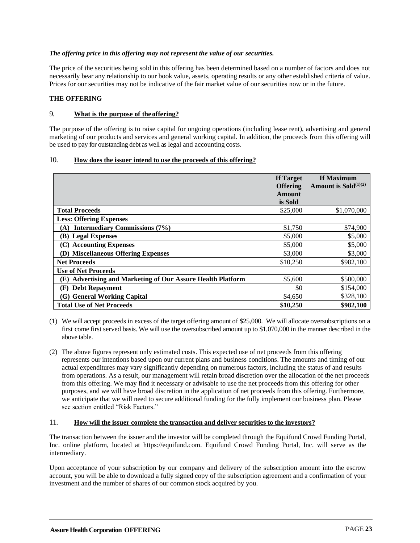#### *The offering price in this offering may not represent the value of our securities.*

The price of the securities being sold in this offering has been determined based on a number of factors and does not necessarily bear any relationship to our book value, assets, operating results or any other established criteria of value. Prices for our securities may not be indicative of the fair market value of our securities now or in the future.

#### <span id="page-25-0"></span>**THE OFFERING**

#### 9. **What is the purpose of the offering?**

The purpose of the offering is to raise capital for ongoing operations (including lease rent), advertising and general marketing of our products and services and general working capital. In addition, the proceeds from this offering will be used to pay for outstanding debt as well as legal and accounting costs.

#### 10. **How does the issuer intend to use the proceeds of this offering?**

|                                                                       | If Target<br><b>Offering</b><br>Amount<br>is Sold | If Maximum<br>Amount is Sold $(1)(2)$ |
|-----------------------------------------------------------------------|---------------------------------------------------|---------------------------------------|
| <b>Total Proceeds</b>                                                 | \$25,000                                          | \$1,070,000                           |
| <b>Less: Offering Expenses</b>                                        |                                                   |                                       |
| <b>Intermediary Commissions (7%)</b><br>(A)                           | \$1,750                                           | \$74,900                              |
| (B) Legal Expenses                                                    | \$5,000                                           | \$5,000                               |
| (C) Accounting Expenses                                               | \$5,000                                           | \$5,000                               |
| (D) Miscellaneous Offering Expenses                                   | \$3,000                                           | \$3,000                               |
| <b>Net Proceeds</b>                                                   | \$10,250                                          | \$982,100                             |
| <b>Use of Net Proceeds</b>                                            |                                                   |                                       |
| <b>Advertising and Marketing of Our Assure Health Platform</b><br>(E) | \$5,600                                           | \$500,000                             |
| <b>Debt Repayment</b><br>(F)                                          | \$0                                               | \$154,000                             |
| (G) General Working Capital                                           | \$4,650                                           | \$328,100                             |
| <b>Total Use of Net Proceeds</b>                                      | \$10,250                                          | \$982,100                             |

- (1) We will accept proceeds in excess of the target offering amount of \$25,000. We will allocate oversubscriptions on a first come first served basis. We will use the oversubscribed amount up to \$1,070,000 in the manner described in the above table.
- (2) The above figures represent only estimated costs. This expected use of net proceeds from this offering represents our intentions based upon our current plans and business conditions. The amounts and timing of our actual expenditures may vary significantly depending on numerous factors, including the status of and results from operations. As a result, our management will retain broad discretion over the allocation of the net proceeds from this offering. We may find it necessary or advisable to use the net proceeds from this offering for other purposes, and we will have broad discretion in the application of net proceeds from this offering. Furthermore, we anticipate that we will need to secure additional funding for the fully implement our business plan. Please see section entitled "Risk Factors."

#### 11. **How will the issuer complete the transaction and deliver securities to the investors?**

The transaction between the issuer and the investor will be completed through the Equifund Crowd Funding Portal, Inc. online platform, located at https://equifund.com. Equifund Crowd Funding Portal, Inc. will serve as the intermediary.

Upon acceptance of your subscription by our company and delivery of the subscription amount into the escrow account, you will be able to download a fully signed copy of the subscription agreement and a confirmation of your investment and the number of shares of our common stock acquired by you.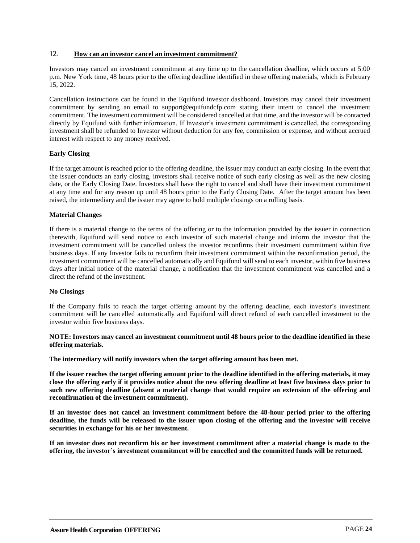#### 12. **How can an investor cancel an investment commitment?**

Investors may cancel an investment commitment at any time up to the cancellation deadline, which occurs at 5:00 p.m. New York time, 48 hours prior to the offering deadline identified in these offering materials, which is February 15, 2022.

Cancellation instructions can be found in the Equifund investor dashboard. Investors may cancel their investment commitment by sending an email to support@equifundcfp.com stating their intent to cancel the investment commitment. The investment commitment will be considered cancelled at that time, and the investor will be contacted directly by Equifund with further information. If Investor's investment commitment is cancelled, the corresponding investment shall be refunded to Investor without deduction for any fee, commission or expense, and without accrued interest with respect to any money received.

#### **Early Closing**

If the target amount is reached prior to the offering deadline, the issuer may conduct an early closing. In the event that the issuer conducts an early closing, investors shall receive notice of such early closing as well as the new closing date, or the Early Closing Date. Investors shall have the right to cancel and shall have their investment commitment at any time and for any reason up until 48 hours prior to the Early Closing Date. After the target amount has been raised, the intermediary and the issuer may agree to hold multiple closings on a rolling basis.

#### **Material Changes**

If there is a material change to the terms of the offering or to the information provided by the issuer in connection therewith, Equifund will send notice to each investor of such material change and inform the investor that the investment commitment will be cancelled unless the investor reconfirms their investment commitment within five business days. If any Investor fails to reconfirm their investment commitment within the reconfirmation period, the investment commitment will be cancelled automatically and Equifund will send to each investor, within five business days after initial notice of the material change, a notification that the investment commitment was cancelled and a direct the refund of the investment.

#### **No Closings**

If the Company fails to reach the target offering amount by the offering deadline, each investor's investment commitment will be cancelled automatically and Equifund will direct refund of each cancelled investment to the investor within five business days.

#### **NOTE: Investors may cancel an investment commitment until 48 hours prior to the deadline identified in these offering materials.**

**The intermediary will notify investors when the target offering amount has been met.**

**If the issuer reaches the target offering amount prior to the deadline identified in the offering materials, it may close the offering early if it provides notice about the new offering deadline at least five business days prior to such new offering deadline (absent a material change that would require an extension of the offering and reconfirmation of the investment commitment).**

**If an investor does not cancel an investment commitment before the 48-hour period prior to the offering deadline, the funds will be released to the issuer upon closing of the offering and the investor will receive securities in exchange for his or her investment.**

**If an investor does not reconfirm his or her investment commitment after a material change is made to the offering, the investor's investment commitment will be cancelled and the committed funds will be returned.**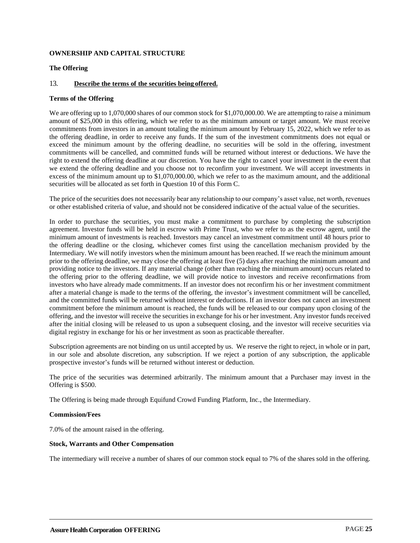#### <span id="page-27-0"></span>**OWNERSHIP AND CAPITAL STRUCTURE**

#### **The Offering**

#### 13. **Describe the terms of the securities being offered.**

#### **Terms of the Offering**

We are offering up to 1,070,000 shares of our common stock for \$1,070,000.00. We are attempting to raise a minimum amount of \$25,000 in this offering, which we refer to as the minimum amount or target amount. We must receive commitments from investors in an amount totaling the minimum amount by February 15, 2022, which we refer to as the offering deadline, in order to receive any funds. If the sum of the investment commitments does not equal or exceed the minimum amount by the offering deadline, no securities will be sold in the offering, investment commitments will be cancelled, and committed funds will be returned without interest or deductions. We have the right to extend the offering deadline at our discretion. You have the right to cancel your investment in the event that we extend the offering deadline and you choose not to reconfirm your investment. We will accept investments in excess of the minimum amount up to \$1,070,000.00, which we refer to as the maximum amount, and the additional securities will be allocated as set forth in Question 10 of this Form C.

The price of the securities does not necessarily bear any relationship to our company's asset value, net worth, revenues or other established criteria of value, and should not be considered indicative of the actual value of the securities.

In order to purchase the securities, you must make a commitment to purchase by completing the subscription agreement. Investor funds will be held in escrow with Prime Trust, who we refer to as the escrow agent, until the minimum amount of investments is reached. Investors may cancel an investment commitment until 48 hours prior to the offering deadline or the closing, whichever comes first using the cancellation mechanism provided by the Intermediary. We will notify investors when the minimum amount has been reached. If we reach the minimum amount prior to the offering deadline, we may close the offering at least five (5) days after reaching the minimum amount and providing notice to the investors. If any material change (other than reaching the minimum amount) occurs related to the offering prior to the offering deadline, we will provide notice to investors and receive reconfirmations from investors who have already made commitments. If an investor does not reconfirm his or her investment commitment after a material change is made to the terms of the offering, the investor's investment commitment will be cancelled, and the committed funds will be returned without interest or deductions. If an investor does not cancel an investment commitment before the minimum amount is reached, the funds will be released to our company upon closing of the offering, and the investor will receive the securities in exchange for his or her investment. Any investor funds received after the initial closing will be released to us upon a subsequent closing, and the investor will receive securities via digital registry in exchange for his or her investment as soon as practicable thereafter.

Subscription agreements are not binding on us until accepted by us. We reserve the right to reject, in whole or in part, in our sole and absolute discretion, any subscription. If we reject a portion of any subscription, the applicable prospective investor's funds will be returned without interest or deduction.

The price of the securities was determined arbitrarily. The minimum amount that a Purchaser may invest in the Offering is \$500.

The Offering is being made through Equifund Crowd Funding Platform, Inc., the Intermediary.

#### **Commission/Fees**

7.0% of the amount raised in the offering.

#### **Stock, Warrants and Other Compensation**

The intermediary will receive a number of shares of our common stock equal to 7% of the shares sold in the offering.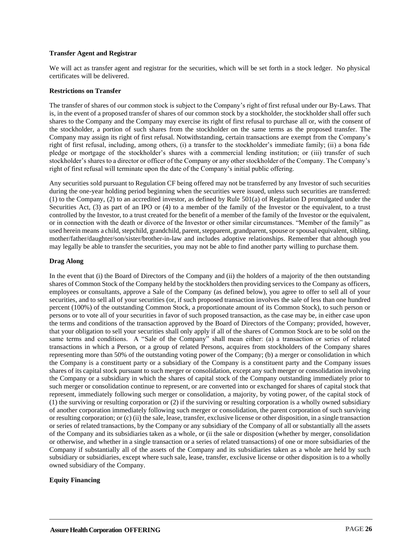#### **Transfer Agent and Registrar**

We will act as transfer agent and registrar for the securities, which will be set forth in a stock ledger. No physical certificates will be delivered.

#### **Restrictions on Transfer**

The transfer of shares of our common stock is subject to the Company's right of first refusal under our By-Laws. That is, in the event of a proposed transfer of shares of our common stock by a stockholder, the stockholder shall offer such shares to the Company and the Company may exercise its right of first refusal to purchase all or, with the consent of the stockholder, a portion of such shares from the stockholder on the same terms as the proposed transfer. The Company may assign its right of first refusal. Notwithstanding, certain transactions are exempt from the Company's right of first refusal, including, among others, (i) a transfer to the stockholder's immediate family; (ii) a bona fide pledge or mortgage of the stockholder's shares with a commercial lending institution; or (iii) transfer of such stockholder's shares to a director or officer of the Company or any other stockholder of the Company. The Company's right of first refusal will terminate upon the date of the Company's initial public offering.

Any securities sold pursuant to Regulation CF being offered may not be transferred by any Investor of such securities during the one-year holding period beginning when the securities were issued, unless such securities are transferred: (1) to the Company, (2) to an accredited investor, as defined by Rule 501(a) of Regulation D promulgated under the Securities Act, (3) as part of an IPO or (4) to a member of the family of the Investor or the equivalent, to a trust controlled by the Investor, to a trust created for the benefit of a member of the family of the Investor or the equivalent, or in connection with the death or divorce of the Investor or other similar circumstances. "Member of the family" as used herein means a child, stepchild, grandchild, parent, stepparent, grandparent, spouse or spousal equivalent, sibling, mother/father/daughter/son/sister/brother-in-law and includes adoptive relationships. Remember that although you may legally be able to transfer the securities, you may not be able to find another party willing to purchase them.

#### **Drag Along**

In the event that (i) the Board of Directors of the Company and (ii) the holders of a majority of the then outstanding shares of Common Stock of the Company held by the stockholders then providing services to the Company as officers, employees or consultants, approve a Sale of the Company (as defined below), you agree to offer to sell all of your securities, and to sell all of your securities (or, if such proposed transaction involves the sale of less than one hundred percent (100%) of the outstanding Common Stock, a proportionate amount of its Common Stock), to such person or persons or to vote all of your securities in favor of such proposed transaction, as the case may be, in either case upon the terms and conditions of the transaction approved by the Board of Directors of the Company; provided, however, that your obligation to sell your securities shall only apply if all of the shares of Common Stock are to be sold on the same terms and conditions. A "Sale of the Company" shall mean either: (a) a transaction or series of related transactions in which a Person, or a group of related Persons, acquires from stockholders of the Company shares representing more than 50% of the outstanding voting power of the Company; (b) a merger or consolidation in which the Company is a constituent party or a subsidiary of the Company is a constituent party and the Company issues shares of its capital stock pursuant to such merger or consolidation, except any such merger or consolidation involving the Company or a subsidiary in which the shares of capital stock of the Company outstanding immediately prior to such merger or consolidation continue to represent, or are converted into or exchanged for shares of capital stock that represent, immediately following such merger or consolidation, a majority, by voting power, of the capital stock of (1) the surviving or resulting corporation or (2) if the surviving or resulting corporation is a wholly owned subsidiary of another corporation immediately following such merger or consolidation, the parent corporation of such surviving or resulting corporation; or (c) (ii) the sale, lease, transfer, exclusive license or other disposition, in a single transaction or series of related transactions, by the Company or any subsidiary of the Company of all or substantially all the assets of the Company and its subsidiaries taken as a whole, or (ii the sale or disposition (whether by merger, consolidation or otherwise, and whether in a single transaction or a series of related transactions) of one or more subsidiaries of the Company if substantially all of the assets of the Company and its subsidiaries taken as a whole are held by such subsidiary or subsidiaries, except where such sale, lease, transfer, exclusive license or other disposition is to a wholly owned subsidiary of the Company.

#### **Equity Financing**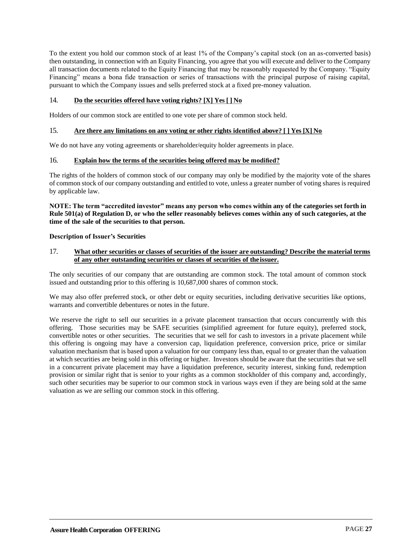To the extent you hold our common stock of at least 1% of the Company's capital stock (on an as-converted basis) then outstanding, in connection with an Equity Financing, you agree that you will execute and deliver to the Company all transaction documents related to the Equity Financing that may be reasonably requested by the Company. "Equity Financing" means a bona fide transaction or series of transactions with the principal purpose of raising capital, pursuant to which the Company issues and sells preferred stock at a fixed pre-money valuation.

#### 14. **Do the securities offered have voting rights? [X] Yes [ ] No**

Holders of our common stock are entitled to one vote per share of common stock held.

#### 15. **Are there any limitations on any voting or other rights identified above? [ ] Yes [X] No**

We do not have any voting agreements or shareholder/equity holder agreements in place.

#### 16. **Explain how the terms of the securities being offered may be modified?**

The rights of the holders of common stock of our company may only be modified by the majority vote of the shares of common stock of our company outstanding and entitled to vote, unless a greater number of voting shares is required by applicable law.

#### **NOTE: The term "accredited investor" means any person who comes within any of the categories set forth in Rule 501(a) of Regulation D, or who the seller reasonably believes comes within any of such categories, at the time of the sale of the securities to that person.**

#### **Description of Issuer's Securities**

#### 17. **What other securities or classes of securities of the issuer are outstanding? Describe the material terms of any other outstanding securities or classes of securities of the issuer.**

The only securities of our company that are outstanding are common stock. The total amount of common stock issued and outstanding prior to this offering is 10,687,000 shares of common stock.

We may also offer preferred stock, or other debt or equity securities, including derivative securities like options, warrants and convertible debentures or notes in the future.

We reserve the right to sell our securities in a private placement transaction that occurs concurrently with this offering. Those securities may be SAFE securities (simplified agreement for future equity), preferred stock, convertible notes or other securities. The securities that we sell for cash to investors in a private placement while this offering is ongoing may have a conversion cap, liquidation preference, conversion price, price or similar valuation mechanism that is based upon a valuation for our company less than, equal to or greater than the valuation at which securities are being sold in this offering or higher. Investors should be aware that the securities that we sell in a concurrent private placement may have a liquidation preference, security interest, sinking fund, redemption provision or similar right that is senior to your rights as a common stockholder of this company and, accordingly, such other securities may be superior to our common stock in various ways even if they are being sold at the same valuation as we are selling our common stock in this offering.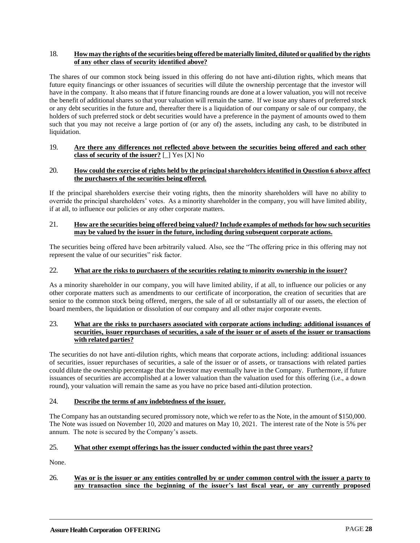#### 18. **How may the rights of the securitiesbeing offeredbe materially limited,dilutedorqualifiedby the rights of any other class of security identified above?**

The shares of our common stock being issued in this offering do not have anti-dilution rights, which means that future equity financings or other issuances of securities will dilute the ownership percentage that the investor will have in the company. It also means that if future financing rounds are done at a lower valuation, you will not receive the benefit of additional shares so that your valuation will remain the same. If we issue any shares of preferred stock or any debt securities in the future and, thereafter there is a liquidation of our company or sale of our company, the holders of such preferred stock or debt securities would have a preference in the payment of amounts owed to them such that you may not receive a large portion of (or any of) the assets, including any cash, to be distributed in liquidation.

#### 19. **Are there any differences not reflected above between the securities being offered and each other class of security of the issuer?** [\_] Yes [X] No

#### 20. **How could the exercise of rights held by the principal shareholders identified in Question 6 above affect the purchasers of the securities being offered.**

If the principal shareholders exercise their voting rights, then the minority shareholders will have no ability to override the principal shareholders' votes. As a minority shareholder in the company, you will have limited ability, if at all, to influence our policies or any other corporate matters.

#### 21. **How are the securitiesbeing offeredbeing valued? Include examples of methodsforhow suchsecurities may be valued by the issuer in the future, including during subsequent corporate actions.**

The securities being offered have been arbitrarily valued. Also, see the "The offering price in this offering may not represent the value of our securities" risk factor.

#### 22. **What are the risks to purchasers of the securities relating to minority ownership in the issuer?**

As a minority shareholder in our company, you will have limited ability, if at all, to influence our policies or any other corporate matters such as amendments to our certificate of incorporation, the creation of securities that are senior to the common stock being offered, mergers, the sale of all or substantially all of our assets, the election of board members, the liquidation or dissolution of our company and all other major corporate events.

#### 23. **What are the risks to purchasers associated with corporate actions including: additional issuances of** securities, issuer repurchases of securities, a sale of the issuer or of assets of the issuer or transactions with related parties?

The securities do not have anti-dilution rights, which means that corporate actions, including: additional issuances of securities, issuer repurchases of securities, a sale of the issuer or of assets, or transactions with related parties could dilute the ownership percentage that the Investor may eventually have in the Company. Furthermore, if future issuances of securities are accomplished at a lower valuation than the valuation used for this offering (i.e., a down round), your valuation will remain the same as you have no price based anti-dilution protection.

#### 24. **Describe the terms of any indebtedness of the issuer.**

The Company has an outstanding secured promissory note, which we refer to as the Note, in the amount of \$150,000. The Note was issued on November 10, 2020 and matures on May 10, 2021. The interest rate of the Note is 5% per annum. The note is secured by the Company's assets.

#### 25. **What other exempt offerings has the issuer conducted within the past three years?**

None.

#### 26. **Was or is the issuer or any entities controlled by or under common control with the issuer a party to any transaction since the beginning of the issuer's last fiscal year, or any currently proposed**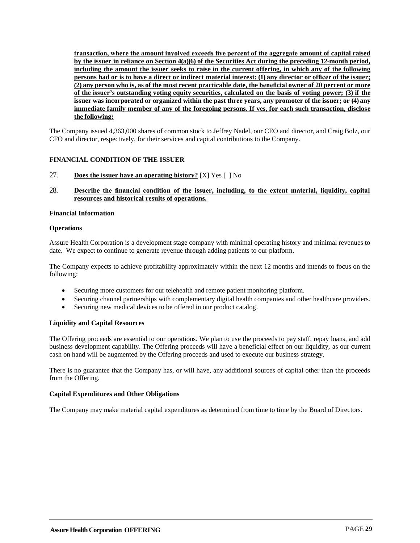**transaction, where the amount involved exceeds five percent of the aggregate amount of capital raised by the issuer in reliance on Section 4(a)(6) of the Securities Act during the preceding 12-month period, including the amount the issuer seeks to raise in the current offering, in which any of the following** persons had <u>or is to have a direct or indirect material interest:</u> (1) any director or officer of the issuer; **(2) anyperson who is, as of the most recentpracticable date, thebeneficial owner of 20percent or more of the issuer's outstanding voting equity securities, calculated on the basis of voting power; (3) if the issuer was incorporated or organized within the past three years, any promoter of the issuer; or (4) any immediate family member of any of the foregoing persons. If yes, for each such transaction, disclose the following:**

The Company issued 4,363,000 shares of common stock to Jeffrey Nadel, our CEO and director, and Craig Bolz, our CFO and director, respectively, for their services and capital contributions to the Company.

#### <span id="page-31-0"></span>**FINANCIAL CONDITION OF THE ISSUER**

- 27. **Does the issuer have an operating history?** [X] Yes [ ] No
- 28. **Describe the financial condition of the issuer, including, to the extent material, liquidity, capital resources and historical results of operations.**

#### **Financial Information**

#### **Operations**

Assure Health Corporation is a development stage company with minimal operating history and minimal revenues to date. We expect to continue to generate revenue through adding patients to our platform.

The Company expects to achieve profitability approximately within the next 12 months and intends to focus on the following:

- Securing more customers for our telehealth and remote patient monitoring platform.
- Securing channel partnerships with complementary digital health companies and other healthcare providers.
- Securing new medical devices to be offered in our product catalog.

#### **Liquidity and Capital Resources**

The Offering proceeds are essential to our operations. We plan to use the proceeds to pay staff, repay loans, and add business development capability. The Offering proceeds will have a beneficial effect on our liquidity, as our current cash on hand will be augmented by the Offering proceeds and used to execute our business strategy.

There is no guarantee that the Company has, or will have, any additional sources of capital other than the proceeds from the Offering.

#### **Capital Expenditures and Other Obligations**

The Company may make material capital expenditures as determined from time to time by the Board of Directors.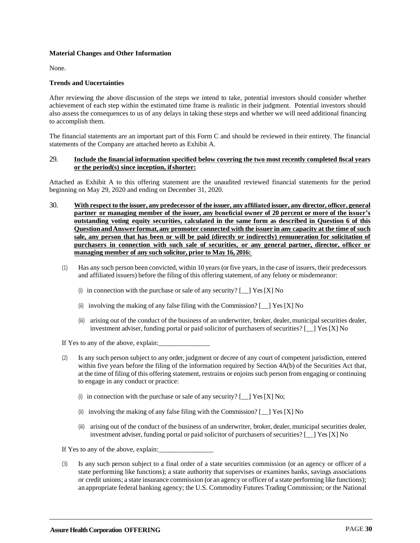#### **Material Changes and Other Information**

None.

#### **Trends and Uncertainties**

After reviewing the above discussion of the steps we intend to take, potential investors should consider whether achievement of each step within the estimated time frame is realistic in their judgment. Potential investors should also assess the consequences to us of any delays in taking these steps and whether we will need additional financing to accomplish them.

The financial statements are an important part of this Form C and should be reviewed in their entirety. The financial statements of the Company are attached hereto as Exhibit A.

#### 29. **Include the financial information specified below covering the two most recently completed fiscal years or the period(s) since inception, ifshorter:**

Attached as Exhibit A to this offering statement are the unaudited reviewed financial statements for the period beginning on May 29, 2020 and ending on December 31, 2020.

- 30. **Withrespect to the issuer, anypredecessor of the issuer, any affiliatedissuer, anydirector, officer, general partner or managing member of the issuer, any beneficial owner of 20 percent or more of the issuer's outstanding voting equity securities, calculated in the same form as described in Question 6 of this QuestionandAnswer format, any promoter connected withthe issuer inany capacity at the time of such sale, any person that has been or will be paid (directly or indirectly) remuneration for solicitation of purchasers in connection with such sale of securities, or any general partner, director, officer or managing member of any suchsolicitor,prior to May 16, 2016:** 
	- (1) Has any such person been convicted, within 10 years (or five years,in the case of issuers,their predecessors and affiliated issuers) before the filing of this offering statement, of any felony or misdemeanor:
		- (i) in connection with the purchase or sale of any security?  $[\_]$  Yes [X] No
		- (ii) involving the making of any false filing with the Commission? [\_\_] Yes [X] No
		- (iii) arising out of the conduct of the business of an underwriter, broker, dealer, municipal securities dealer, investment adviser, funding portal or paid solicitor of purchasers of securities? [ $\Box$ ] Yes [X] No

If Yes to any of the above, explain:

- (2) Is any such person subject to any order, judgment or decree of any court of competent jurisdiction, entered within five years before the filing of the information required by Section 4A(b) of the Securities Act that, at the time of filing of this offering statement, restrains or enjoins such person from engaging or continuing to engage in any conduct or practice:
	- (i) in connection with the purchase or sale of any security?  $[\_]$  Yes [X] No;
	- (ii) involving the making of any false filing with the Commission?  $\lceil \quad \rceil$  Yes [X] No
	- (iii) arising out of the conduct of the business of an underwriter, broker, dealer, municipal securities dealer, investment adviser, funding portal or paid solicitor of purchasers of securities?  $\lceil \quad \rceil$  Yes [X] No

If Yes to any of the above, explain:

(3) Is any such person subject to a final order of a state securities commission (or an agency or officer of a state performing like functions); a state authority that supervises or examines banks, savings associations or credit unions; a state insurance commission (or an agency or officer of a state performing like functions); an appropriate federal banking agency; the U.S. Commodity Futures Trading Commission; or the National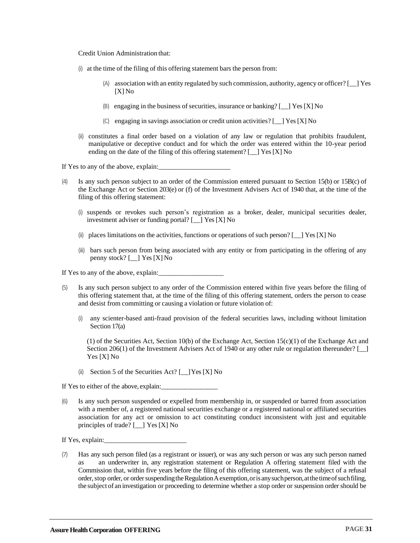Credit Union Administration that:

- (i) atthe time of the filing of this offering statement bars the person from:
	- $(A)$  association with an entity regulated by such commission, authority, agency or officer?  $[$  [Yes] [X] No
	- (B) engaging in the business of securities, insurance or banking?  $[\ ]$  Yes [X] No
	- (C) engaging in savings association or credit union activities? [\_\_] Yes[X] No
- (ii) constitutes a final order based on a violation of any law or regulation that prohibits fraudulent, manipulative or deceptive conduct and for which the order was entered within the 10-year period ending on the date of the filing of this offering statement?  $\left[$   $\right]$  Yes [X] No

If Yes to any of the above, explain:

- (4) Is any such person subject to an order of the Commission entered pursuant to Section 15(b) or 15B(c) of the Exchange Act or Section 203(e) or (f) of the Investment Advisers Act of 1940 that, at the time of the filing of this offering statement:
	- (i) suspends or revokes such person's registration as a broker, dealer, municipal securities dealer, investment adviser or funding portal? [\_\_] Yes [X] No
	- (ii) places limitations on the activities, functions or operations of such person?  $\lceil \frac{1}{2} \rceil$  Yes [X] No
	- (iii) bars such person from being associated with any entity or from participating in the offering of any penny stock? [\_\_] Yes [X] No

If Yes to any of the above, explain:

- (5) Is any such person subject to any order of the Commission entered within five years before the filing of this offering statement that, at the time of the filing of this offering statement, orders the person to cease and desist from committing or causing a violation or future violation of:
	- (i) any scienter-based anti-fraud provision of the federal securities laws, including without limitation Section 17(a)

(1) of the Securities Act, Section 10(b) of the Exchange Act, Section 15(c)(1) of the Exchange Act and Section 206(1) of the Investment Advisers Act of 1940 or any other rule or regulation thereunder? [  $\Box$ ] Yes [X] No

(ii) Section 5 of the Securities Act? [\_\_]Yes [X] No

If Yes to either of the above, explain:

(6) Is any such person suspended or expelled from membership in, or suspended or barred from association with a member of, a registered national securities exchange or a registered national or affiliated securities association for any act or omission to act constituting conduct inconsistent with just and equitable principles of trade?  $\lceil \quad \rceil$  Yes  $[X]$  No

If Yes, explain:

(7) Has any such person filed (as a registrant or issuer), or was any such person or was any such person named as an underwriter in, any registration statement or Regulation A offering statement filed with the Commission that, within five years before the filing of this offering statement, was the subject of a refusal order, stop order, or order suspending the Regulation A exemption, or is any such person, at the time of such filing, the subject of an investigation or proceeding to determine whether a stop order or suspension order should be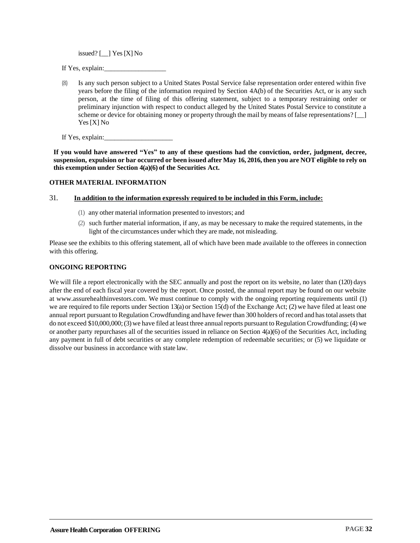issued?  $[\ ]$  Yes [X] No

If Yes, explain:

Is any such person subject to a United States Postal Service false representation order entered within five years before the filing of the information required by Section 4A(b) of the Securities Act, or is any such person, at the time of filing of this offering statement, subject to a temporary restraining order or preliminary injunction with respect to conduct alleged by the United States Postal Service to constitute a scheme or device for obtaining money or property through the mail by means of false representations? [2004] Yes[X] No

If Yes, explain:

**If you would have answered "Yes" to any of these questions had the conviction, order, judgment, decree, suspension, expulsionorbar occurredorbeenissuedafter May 16, 2016, thenyouare NOT eligible to rely on this exemptionunder Section 4(a)(6) of the Securities Act.**

#### <span id="page-34-0"></span>**OTHER MATERIAL INFORMATION**

#### 31. **In addition to the information expressly required to be included in this Form, include:**

- (1) any other materialinformation presented to investors; and
- (2) such further material information, if any, as may be necessary to make the required statements, in the light of the circumstances under which they are made, not misleading.

Please see the exhibits to this offering statement, all of which have been made available to the offerees in connection with this offering.

#### <span id="page-34-1"></span>**ONGOING REPORTING**

We will file a report electronically with the SEC annually and post the report on its website, no later than (120) days after the end of each fiscal year covered by the report. Once posted, the annual report may be found on our website at www.assurehealthinvestors.com. We must continue to comply with the ongoing reporting requirements until (1) we are required to file reports under Section 13(a) or Section 15(d) of the Exchange Act; (2) we have filed at least one annual report pursuant to Regulation Crowdfunding and have fewer than 300 holders of record and has total assets that do not exceed  $$10,000,000$ ; (3) we have filed at least three annual reports pursuant to Regulation Crowdfunding; (4) we or another party repurchases all of the securities issued in reliance on Section 4(a)(6) of the Securities Act, including any payment in full of debt securities or any complete redemption of redeemable securities; or (5) we liquidate or dissolve our business in accordance with state law.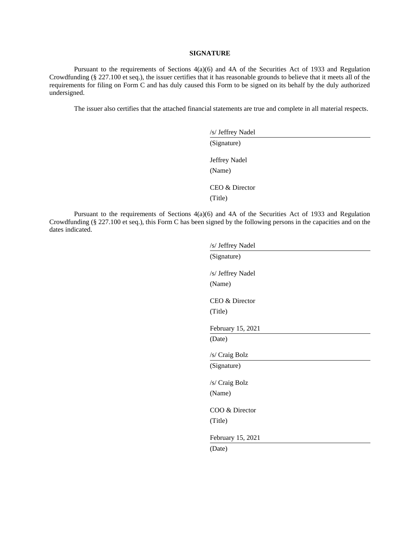#### **SIGNATURE**

Pursuant to the requirements of Sections 4(a)(6) and 4A of the Securities Act of 1933 and Regulation Crowdfunding (§ 227.100 et seq.), the issuer certifies that it has reasonable grounds to believe that it meets all of the requirements for filing on Form C and has duly caused this Form to be signed on its behalf by the duly authorized undersigned.

The issuer also certifies that the attached financial statements are true and complete in all material respects.

| /s/ Jeffrey Nadel         |  |  |
|---------------------------|--|--|
| (Signature)               |  |  |
| Jeffrey Nadel<br>(Name)   |  |  |
| CEO & Director<br>(Title) |  |  |

Pursuant to the requirements of Sections 4(a)(6) and 4A of the Securities Act of 1933 and Regulation Crowdfunding (§ 227.100 et seq.), this Form C has been signed by the following persons in the capacities and on the dates indicated.

| /s/ Jeffrey Nadel |
|-------------------|
| (Signature)       |
| /s/ Jeffrey Nadel |
|                   |
| (Name)            |
| CEO & Director    |
| (Title)           |
|                   |
| February 15, 2021 |
| (Date)            |
|                   |
| /s/ Craig Bolz    |
| (Signature)       |
|                   |
| /s/ Craig Bolz    |
| (Name)            |
|                   |
| COO & Director    |
| (Title)           |
|                   |
| February 15, 2021 |
| (Date)            |
|                   |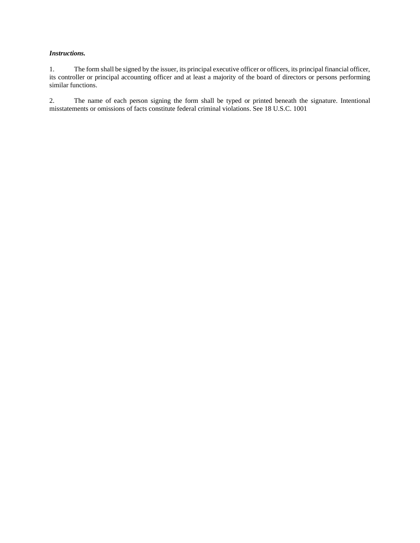#### *Instructions.*

1. The form shall be signed by the issuer, its principal executive officer or officers, its principal financial officer, its controller or principal accounting officer and at least a majority of the board of directors or persons performing similar functions.

2. The name of each person signing the form shall be typed or printed beneath the signature. Intentional misstatements or omissions of facts constitute federal criminal violations. See 18 U.S.C. 1001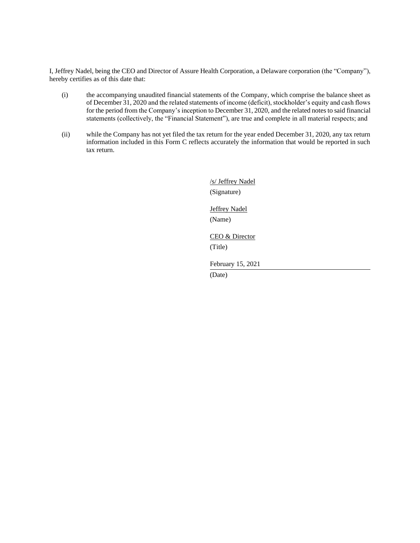I, Jeffrey Nadel, being the CEO and Director of Assure Health Corporation, a Delaware corporation (the "Company"), hereby certifies as of this date that:

- (i) the accompanying unaudited financial statements of the Company, which comprise the balance sheet as of December 31, 2020 and the related statements of income (deficit), stockholder's equity and cash flows for the period from the Company's inception to December 31, 2020, and the related notes to said financial statements (collectively, the "Financial Statement"), are true and complete in all material respects; and
- (ii) while the Company has not yet filed the tax return for the year ended December 31, 2020, any tax return information included in this Form C reflects accurately the information that would be reported in such tax return.

/s/ Jeffrey Nadel (Signature) Jeffrey Nadel (Name) CEO & Director (Title) February 15, 2021 (Date)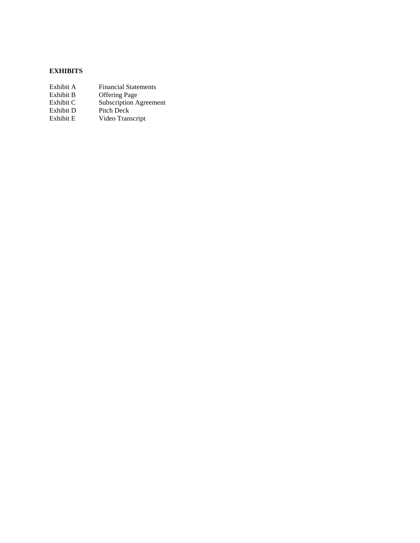#### **EXHIBITS**

| Exhibit A | <b>Financial Statements</b>   |
|-----------|-------------------------------|
| Exhibit B | <b>Offering Page</b>          |
| Exhibit C | <b>Subscription Agreement</b> |
| Exhibit D | Pitch Deck                    |
| Exhibit E | Video Transcript              |
|           |                               |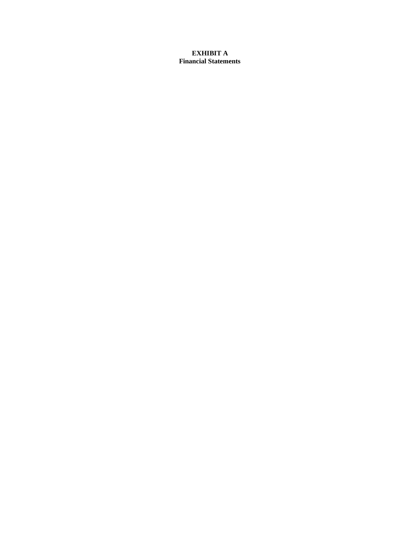#### **EXHIBIT A Financial Statements**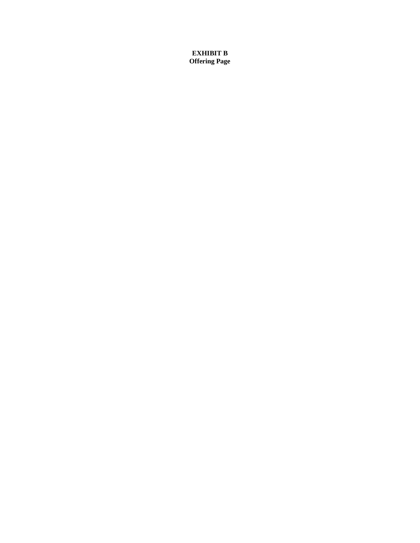**EXHIBIT B Offering Page**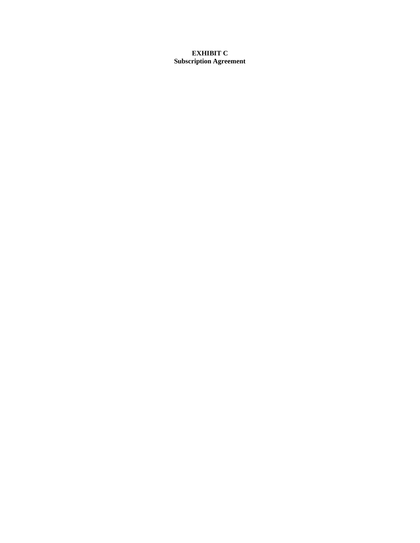#### **EXHIBIT C Subscription Agreement**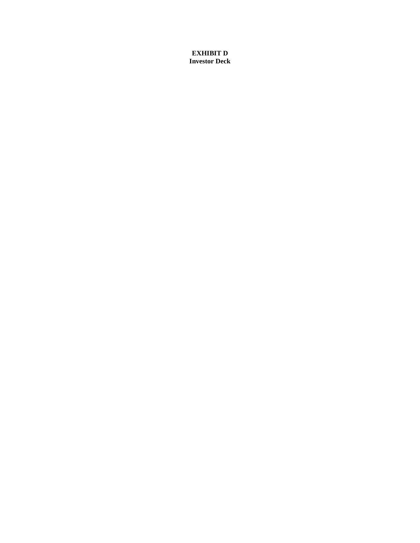**EXHIBIT D Investor Deck**